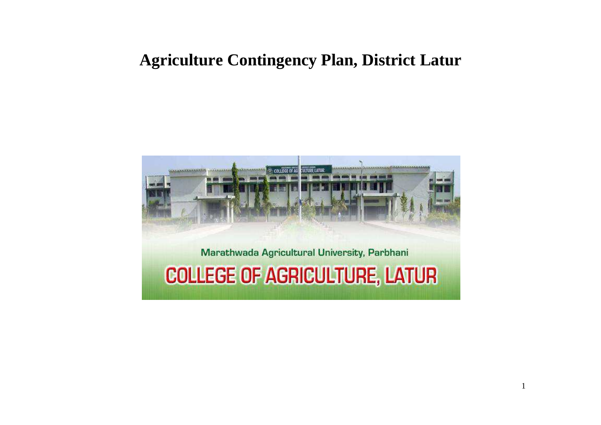# **Agriculture Contingency Plan, District Latur**

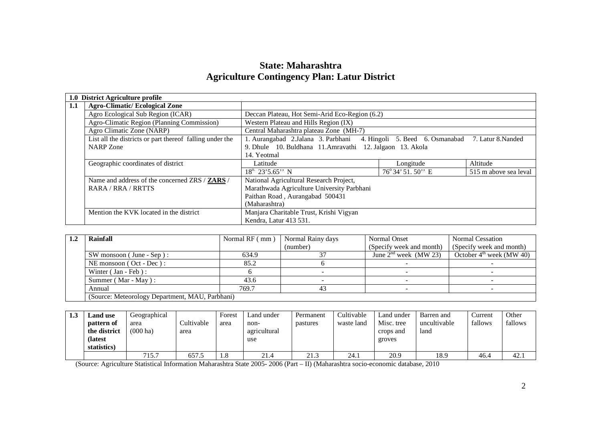### **State: Maharashtra Agriculture Contingency Plan: Latur District**

|     | 1.0 District Agriculture profile                         |                                                                                       |                |                       |  |  |  |
|-----|----------------------------------------------------------|---------------------------------------------------------------------------------------|----------------|-----------------------|--|--|--|
| 1.1 | <b>Agro-Climatic/Ecological Zone</b>                     |                                                                                       |                |                       |  |  |  |
|     | Agro Ecological Sub Region (ICAR)                        | Deccan Plateau, Hot Semi-Arid Eco-Region (6.2)                                        |                |                       |  |  |  |
|     | Agro-Climatic Region (Planning Commission)               | Western Plateau and Hills Region (IX)                                                 |                |                       |  |  |  |
|     | Agro Climatic Zone (NARP)                                | Central Maharashtra plateau Zone (MH-7)                                               |                |                       |  |  |  |
|     | List all the districts or part thereof falling under the | 1. Aurangabad 2.Jalana 3. Parbhani 4. Hingoli 5. Beed 6. Osmanabad 7. Latur 8. Nanded |                |                       |  |  |  |
|     | <b>NARP</b> Zone                                         | 9. Dhule 10. Buldhana 11. Amravathi 12. Jalgaon 13. Akola                             |                |                       |  |  |  |
|     |                                                          | 14. Yeotmal                                                                           |                |                       |  |  |  |
|     | Geographic coordinates of district                       | Latitude                                                                              | Longitude      | Altitude              |  |  |  |
|     |                                                          | $18^{\circ}$ 23'5.65" N                                                               | 76°34'51.50" E | 515 m above sea leval |  |  |  |
|     | Name and address of the concerned ZRS / <b>ZARS</b> /    | National Agricultural Research Project,                                               |                |                       |  |  |  |
|     | RARA / RRA / RRTTS                                       | Marathwada Agriculture University Parbhani                                            |                |                       |  |  |  |
|     |                                                          | Paithan Road, Aurangabad 500431                                                       |                |                       |  |  |  |
|     |                                                          | (Maharashtra)                                                                         |                |                       |  |  |  |
|     | Mention the KVK located in the district                  | Manjara Charitable Trust, Krishi Vigyan                                               |                |                       |  |  |  |
|     |                                                          | Kendra, Latur 413 531.                                                                |                |                       |  |  |  |

| Rainfall                                        | Normal RF (mm) | Normal Rainy days | Normal Onset             | <b>Normal Cessation</b>              |
|-------------------------------------------------|----------------|-------------------|--------------------------|--------------------------------------|
|                                                 |                | (number)          | (Specify week and month) | (Specify week and month)             |
| $SW$ monsoon (June - Sep):                      | 634.9          |                   | June $2nd$ week (MW 23)  | October $4^{\text{th}}$ week (MW 40) |
| NE monsoon (Oct - Dec):                         | 85.2           |                   |                          |                                      |
| Winter (Jan - Feb):                             |                |                   |                          |                                      |
| Summer (Mar - May):                             | 43.6           |                   |                          |                                      |
| Annual                                          | 769.7          |                   |                          |                                      |
| (Source: Meteorology Department, MAU, Parbhani) |                |                   |                          |                                      |

| 1.3 | $\mathbf{\mathbf{\mathsf{\scriptstyle{L}}}$ and use<br>pattern of<br>the district<br><b>(latest)</b> | Geographical<br>area<br>$(000 \text{ ha})$ | Cultivable<br>area | Forest<br>area | Land under<br>non-<br>agricultural<br>use | Permanent<br>pastures | Cultivable<br>waste land | Land under<br>Misc. tree<br>crops and<br>groves | Barren and<br>uncultivable<br>land | Current<br>fallows | Other<br>fallows |
|-----|------------------------------------------------------------------------------------------------------|--------------------------------------------|--------------------|----------------|-------------------------------------------|-----------------------|--------------------------|-------------------------------------------------|------------------------------------|--------------------|------------------|
|     | statistics)                                                                                          |                                            |                    |                |                                           |                       |                          |                                                 |                                    |                    |                  |
|     |                                                                                                      | 715.7                                      | 657.5              | 1.8            | 21.4                                      | 21.3                  | 24.1                     | 20.9                                            | 18.9                               | 46.4               | 42.1             |

(Source: Agriculture Statistical Information Maharashtra State 2005- 2006 (Part – II) (Maharashtra socio-economic database, 2010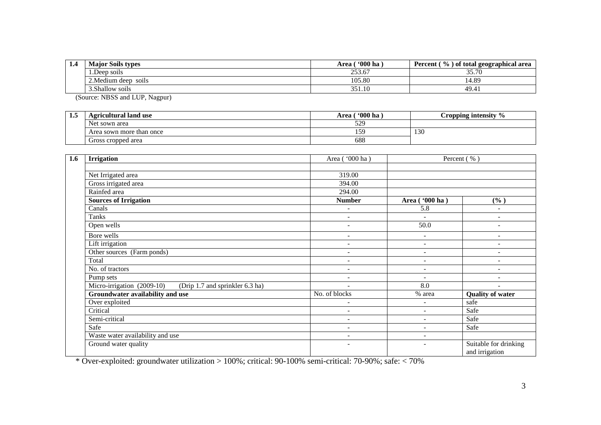| . | <b>Major Soils types</b>  | 600 <sub>ha</sub><br>Area ( | (%) of total geographical area<br><b>Percent</b> |  |
|---|---------------------------|-----------------------------|--------------------------------------------------|--|
|   | 1.Deep soils              | 253.67                      | 25.70<br>33.7U                                   |  |
|   | 2. Medium deep<br>- SO1lS | 105.80                      | .4.89                                            |  |
|   | 3.Shallow soils           | 351.10                      | 49.4                                             |  |

(Source: NBSS and LUP, Nagpur)

| 1.5 | <b>Agricultural land use</b> | <b>'000 ha</b><br>Area ' | Cropping intensity $\%$ |  |
|-----|------------------------------|--------------------------|-------------------------|--|
|     | Net sown area                | 529                      |                         |  |
|     | Area sown more than once     | 5 <sub>c</sub>           | 130                     |  |
|     | Gross cropped area           | 688                      |                         |  |

| 1.6 | <b>Irrigation</b>                                             | Area ( $\sqrt{000 \text{ ha}}$ ) |                          | Percent (%)                             |  |
|-----|---------------------------------------------------------------|----------------------------------|--------------------------|-----------------------------------------|--|
|     |                                                               |                                  |                          |                                         |  |
|     | Net Irrigated area                                            | 319.00                           |                          |                                         |  |
|     | Gross irrigated area                                          | 394.00                           |                          |                                         |  |
|     | Rainfed area                                                  | 294.00                           |                          |                                         |  |
|     | <b>Sources of Irrigation</b>                                  | <b>Number</b>                    | Area ('000 ha)           | (%)                                     |  |
|     | Canals                                                        | $\overline{\phantom{a}}$         | 5.8                      | ۰                                       |  |
|     | Tanks                                                         | $\overline{\phantom{0}}$         | $\blacksquare$           | $\overline{\phantom{0}}$                |  |
|     | Open wells                                                    | $\overline{\phantom{0}}$         | 50.0                     | -                                       |  |
|     | Bore wells                                                    | $\overline{\phantom{a}}$         | $\sim$                   | ۰<br>٠                                  |  |
|     | Lift irrigation                                               | $\overline{\phantom{a}}$         | $\overline{\phantom{a}}$ |                                         |  |
|     | Other sources (Farm ponds)                                    | $\overline{\phantom{a}}$         | $\sim$                   | ٠                                       |  |
|     | Total                                                         | $\overline{\phantom{a}}$         | $\overline{\phantom{a}}$ | ٠                                       |  |
|     | No. of tractors                                               | $\overline{\phantom{a}}$         | $\overline{\phantom{a}}$ | ۰                                       |  |
|     | Pump sets                                                     | $\overline{\phantom{0}}$         | $\overline{\phantom{a}}$ | $\overline{\phantom{0}}$                |  |
|     | Micro-irrigation (2009-10)<br>(Drip 1.7 and sprinkler 6.3 ha) | $\overline{\phantom{0}}$         | 8.0                      | ۰                                       |  |
|     | Groundwater availability and use                              | No. of blocks                    | % area                   | <b>Quality of water</b>                 |  |
|     | Over exploited                                                | ۰                                | $\overline{\phantom{0}}$ | safe                                    |  |
|     | Critical                                                      | ٠                                | $\overline{\phantom{0}}$ | Safe                                    |  |
|     | Semi-critical                                                 | $\overline{a}$                   |                          | Safe                                    |  |
|     | Safe                                                          | $\qquad \qquad \blacksquare$     | $\overline{\phantom{0}}$ | Safe                                    |  |
|     | Waste water availability and use                              | $\overline{\phantom{a}}$         | $\overline{\phantom{0}}$ |                                         |  |
|     | Ground water quality                                          | $\overline{\phantom{a}}$         | $\overline{\phantom{a}}$ | Suitable for drinking<br>and irrigation |  |

\* Over-exploited: groundwater utilization > 100%; critical: 90-100% semi-critical: 70-90%; safe: < 70%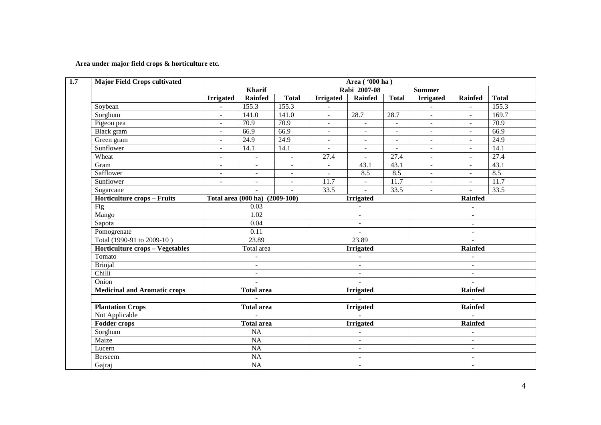#### **Area under major field crops & horticulture etc.**

| $\overline{1.7}$ | <b>Major Field Crops cultivated</b>    | Area ('000 ha)           |                                |                             |                          |                          |                          |                          |                          |                   |
|------------------|----------------------------------------|--------------------------|--------------------------------|-----------------------------|--------------------------|--------------------------|--------------------------|--------------------------|--------------------------|-------------------|
|                  |                                        |                          | <b>Kharif</b>                  |                             |                          | Rabi 2007-08             |                          | <b>Summer</b>            |                          |                   |
|                  |                                        | <b>Irrigated</b>         | Rainfed                        | <b>Total</b>                | <b>Irrigated</b>         | <b>Rainfed</b>           | <b>Total</b>             | <b>Irrigated</b>         | <b>Rainfed</b>           | <b>Total</b>      |
|                  | Soybean                                | $\equiv$                 | 155.3                          | 155.3                       | $\equiv$                 |                          |                          | $\overline{a}$           | $\omega$                 | 155.3             |
|                  | Sorghum                                | $\blacksquare$           | 141.0                          | 141.0                       | $\blacksquare$           | 28.7                     | 28.7                     | $\blacksquare$           | $\blacksquare$           | 169.7             |
|                  | Pigeon pea                             | $\overline{\phantom{a}}$ | 70.9                           | 70.9                        | $\blacksquare$           | $\blacksquare$           | $\blacksquare$           | $\sim$                   | $\blacksquare$           | 70.9              |
|                  | Black gram                             | $\overline{a}$           | 66.9                           | 66.9                        | $\blacksquare$           | $\overline{\phantom{a}}$ | $\overline{\phantom{a}}$ | $\overline{\phantom{a}}$ | $\overline{\phantom{a}}$ | 66.9              |
|                  | Green gram                             | $\overline{\phantom{a}}$ | 24.9                           | 24.9                        | $\overline{\phantom{a}}$ | $\blacksquare$           | $\overline{\phantom{a}}$ | $\blacksquare$           | $\blacksquare$           | 24.9              |
|                  | Sunflower                              | $\blacksquare$           | 14.1                           | 14.1                        | $\blacksquare$           | $\blacksquare$           | $\sim$                   | $\sim$                   | $\blacksquare$           | 14.1              |
|                  | Wheat                                  | $\blacksquare$           | $\overline{\phantom{a}}$       | $\sim$                      | 27.4                     | $\blacksquare$           | 27.4                     | $\sim$                   | $\blacksquare$           | 27.4              |
|                  | Gram                                   | $\equiv$                 | $\overline{\phantom{a}}$       | $\overline{\phantom{a}}$    | $\overline{\phantom{a}}$ | 43.1                     | 43.1                     | $\overline{\phantom{a}}$ | $\blacksquare$           | 43.1              |
|                  | Safflower                              | $\blacksquare$           | $\overline{\phantom{a}}$       | $\sim$                      | $\blacksquare$           | 8.5                      | 8.5                      | $\blacksquare$           | $\blacksquare$           | 8.5               |
|                  | Sunflower                              | $\blacksquare$           | $\blacksquare$                 | $\mathcal{L}^{\mathcal{L}}$ | $\overline{11.7}$        | $\overline{\phantom{a}}$ | $\overline{11.7}$        | $\omega$                 | $\mathbb{Z}^2$           | $\overline{11.7}$ |
|                  | Sugarcane                              |                          | $\blacksquare$                 | $\sim$                      | 33.5                     |                          | 33.5                     | $\blacksquare$           | $\mathbf{r}$             | 33.5              |
|                  | Horticulture crops - Fruits            |                          | Total area (000 ha) (2009-100) |                             |                          | <b>Irrigated</b>         |                          |                          | Rainfed                  |                   |
|                  | Fig                                    |                          | 0.03<br>1.02                   |                             |                          | $\blacksquare$           |                          | $\blacksquare$           |                          |                   |
|                  | Mango                                  |                          |                                |                             | $\blacksquare$           |                          |                          | $\blacksquare$           |                          |                   |
|                  | Sapota                                 |                          | 0.04                           |                             | $\blacksquare$           |                          |                          | $\blacksquare$           |                          |                   |
|                  | Pomogrenate                            |                          | $\overline{0.11}$              |                             | $\sim$                   |                          |                          | $\overline{\phantom{a}}$ |                          |                   |
|                  | Total (1990-91 to 2009-10)             |                          | 23.89                          |                             | 23.89                    |                          | $\blacksquare$           |                          |                          |                   |
|                  | <b>Horticulture crops - Vegetables</b> |                          | Total area                     |                             | <b>Irrigated</b>         |                          | <b>Rainfed</b>           |                          |                          |                   |
|                  | Tomato                                 |                          | $\blacksquare$                 |                             | $\overline{a}$           |                          | $\overline{\phantom{a}}$ |                          |                          |                   |
|                  | <b>Brinjal</b>                         |                          | $\blacksquare$                 |                             |                          | $\overline{\phantom{a}}$ |                          |                          | $\blacksquare$           |                   |
|                  | Chilli                                 |                          | $\blacksquare$                 |                             |                          | $\blacksquare$           |                          |                          | $\overline{\phantom{a}}$ |                   |
|                  | Onion                                  |                          | $\overline{\phantom{a}}$       |                             |                          | $\blacksquare$           |                          |                          | $\sim$                   |                   |
|                  | <b>Medicinal and Aromatic crops</b>    |                          | <b>Total area</b>              |                             |                          | <b>Irrigated</b>         |                          |                          | <b>Rainfed</b>           |                   |
|                  |                                        |                          | $\mathbb{Z}^2$                 |                             |                          |                          |                          |                          |                          |                   |
|                  | <b>Plantation Crops</b>                |                          | <b>Total area</b>              |                             |                          | <b>Irrigated</b>         |                          |                          | Rainfed                  |                   |
|                  | Not Applicable                         |                          | $\blacksquare$                 |                             |                          |                          |                          |                          |                          |                   |
|                  | <b>Fodder crops</b>                    |                          | <b>Total area</b>              |                             |                          | <b>Irrigated</b>         |                          |                          | <b>Rainfed</b>           |                   |
|                  | Sorghum                                |                          | $\overline{NA}$                |                             |                          | $\blacksquare$           |                          |                          | $\blacksquare$           |                   |
|                  | Maize                                  |                          | NA                             |                             |                          | $\sim$                   |                          | $\sim$                   |                          |                   |
|                  | Lucern                                 |                          | NA                             |                             |                          | $\sim$                   |                          | $\sim$                   |                          |                   |
|                  | Berseem                                |                          | NA                             |                             |                          | $\overline{\phantom{a}}$ |                          |                          | $\sim$                   |                   |
|                  | Gajraj                                 |                          | <b>NA</b>                      |                             | $\blacksquare$           |                          |                          | $\sim$                   |                          |                   |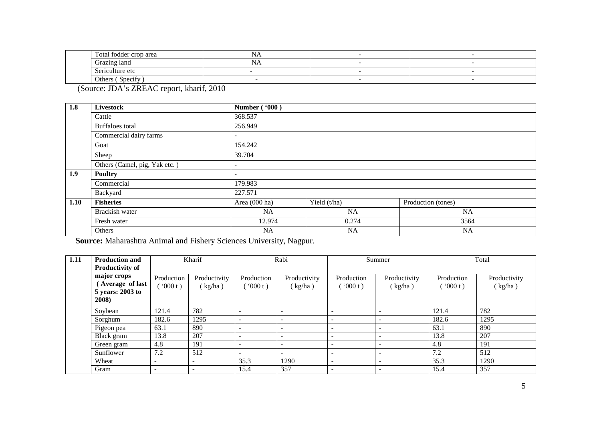|  | $\sim$<br>l'otal fodder crop area | . YZ |  |
|--|-----------------------------------|------|--|
|  | Grazing land                      | ב־גי |  |
|  | Sericulture etc                   |      |  |
|  | Specify<br>Others                 |      |  |

(Source: JDA's ZREAC report, kharif, 2010

| 1.8  | <b>Livestock</b>              | Number ('000)            |              |                    |
|------|-------------------------------|--------------------------|--------------|--------------------|
|      | Cattle                        | 368.537                  |              |                    |
|      | Buffaloes total               | 256.949                  |              |                    |
|      | Commercial dairy farms        | $\overline{\phantom{a}}$ |              |                    |
|      | Goat                          | 154.242                  |              |                    |
|      | Sheep                         | 39.704                   |              |                    |
|      | Others (Camel, pig, Yak etc.) | $\overline{\phantom{0}}$ |              |                    |
| 1.9  | <b>Poultry</b>                | $\sim$                   |              |                    |
|      | Commercial                    | 179.983                  |              |                    |
|      | Backyard                      | 227.571                  |              |                    |
| 1.10 | <b>Fisheries</b>              | Area (000 ha)            | Yield (t/ha) | Production (tones) |
|      | Brackish water                | NA                       | <b>NA</b>    | NA                 |
|      | Fresh water                   | 12.974                   | 0.274        | 3564               |
|      | Others                        | <b>NA</b>                | <b>NA</b>    | <b>NA</b>          |

**Source:** Maharashtra Animal and Fishery Sciences University, Nagpur.

| 1.11 | <b>Production and</b><br><b>Productivity of</b>             |                          | Kharif                   | Rabi                     |                          | Summer                   |                          | Total                 |                         |
|------|-------------------------------------------------------------|--------------------------|--------------------------|--------------------------|--------------------------|--------------------------|--------------------------|-----------------------|-------------------------|
|      | major crops<br>Average of last<br>5 years: 2003 to<br>2008) | Production<br>000 t)     | Productivity<br>(kg/ha)  | Production<br>(000 t)    | Productivity<br>(kg/ha)  | Production<br>(000t)     | Productivity<br>(kg/ha)  | Production<br>(000 t) | Productivity<br>(kg/ha) |
|      | Soybean                                                     | 121.4                    | 782                      |                          | -                        |                          |                          | 121.4                 | 782                     |
|      | Sorghum                                                     | 182.6                    | 1295                     | $\overline{\phantom{a}}$ | $\overline{\phantom{a}}$ |                          | $\overline{\phantom{a}}$ | 182.6                 | 1295                    |
|      | Pigeon pea                                                  | 63.1                     | 890                      | $\overline{\phantom{a}}$ | $\overline{\phantom{a}}$ | $\overline{\phantom{0}}$ |                          | 63.1                  | 890                     |
|      | Black gram                                                  | 13.8                     | 207                      |                          | $\overline{\phantom{a}}$ | $\overline{\phantom{0}}$ |                          | 13.8                  | 207                     |
|      | Green gram                                                  | 4.8                      | 191                      | $\overline{\phantom{a}}$ | $\overline{\phantom{a}}$ | $\overline{\phantom{0}}$ |                          | 4.8                   | 191                     |
|      | Sunflower                                                   | 7.2                      | 512                      |                          | $\overline{\phantom{a}}$ | $\blacksquare$           |                          | 7.2                   | 512                     |
|      | Wheat                                                       | $\overline{\phantom{0}}$ | $\overline{\phantom{a}}$ | 35.3                     | 1290                     | $\overline{\phantom{a}}$ | $\overline{\phantom{0}}$ | 35.3                  | 1290                    |
|      | Gram                                                        | $\overline{\phantom{a}}$ |                          | 15.4                     | 357                      | $\overline{\phantom{a}}$ |                          | 15.4                  | 357                     |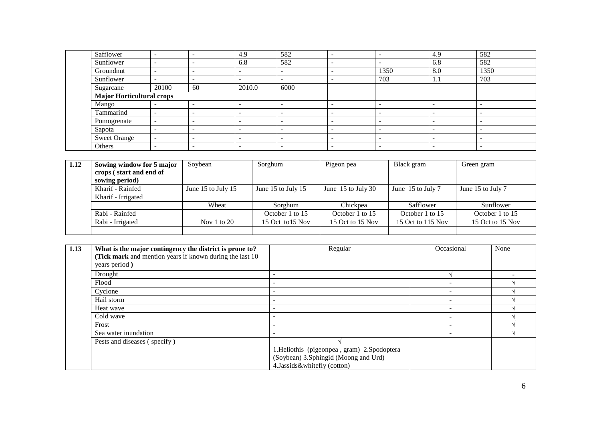| Safflower                        |       |    | 4.9                      | 582                      |                          |                          | 4.9                      | 582  |
|----------------------------------|-------|----|--------------------------|--------------------------|--------------------------|--------------------------|--------------------------|------|
| Sunflower                        |       |    | 6.8                      | 582                      | ٠                        | $\overline{\phantom{0}}$ | 6.8                      | 582  |
| Groundnut                        |       |    | -                        | -                        | -                        | 1350                     | 8.0                      | 1350 |
| Sunflower                        |       | -  | $\overline{\phantom{0}}$ | $\overline{\phantom{0}}$ | $\overline{\phantom{a}}$ | 703                      | 1.1                      | 703  |
| Sugarcane                        | 20100 | 60 | 2010.0                   | 6000                     |                          |                          |                          |      |
| <b>Major Horticultural crops</b> |       |    |                          |                          |                          |                          |                          |      |
| Mango                            |       |    |                          |                          | -                        | $\overline{\phantom{0}}$ | -                        |      |
| Tammarind                        |       | -  | $\overline{\phantom{0}}$ | -                        | -                        |                          | $\overline{\phantom{0}}$ | -    |
| Pomogrenate                      | -     | -  | $\overline{\phantom{a}}$ | -                        | $\overline{\phantom{a}}$ | $\overline{\phantom{0}}$ | $\overline{\phantom{0}}$ | ۰    |
| Sapota                           | -     | -  | $\overline{\phantom{0}}$ | $\overline{\phantom{a}}$ | $\overline{\phantom{a}}$ | $\overline{\phantom{a}}$ | $\overline{\phantom{0}}$ | -    |
| <b>Sweet Orange</b>              | -     |    | -                        | -                        | -                        | $\overline{\phantom{0}}$ | -                        |      |
| Others                           | -     |    | -                        |                          |                          | $\overline{\phantom{0}}$ |                          |      |

| 1.12 | Sowing window for 5 major | Soybean            | Sorghum            | Pigeon pea           | Black gram        | Green gram        |
|------|---------------------------|--------------------|--------------------|----------------------|-------------------|-------------------|
|      | crops (start and end of   |                    |                    |                      |                   |                   |
|      | sowing period)            |                    |                    |                      |                   |                   |
|      | Kharif - Rainfed          | June 15 to July 15 | June 15 to July 15 | June $15$ to July 30 | June 15 to July 7 | June 15 to July 7 |
|      | Kharif - Irrigated        |                    |                    |                      |                   |                   |
|      |                           | Wheat              | Sorghum            | Chickpea             | Safflower         | Sunflower         |
|      | Rabi - Rainfed            |                    | October 1 to 15    | October 1 to 15      | October 1 to 15   | October 1 to 15   |
|      | Rabi - Irrigated          | Nov $1$ to $20$    | 15 Oct to 15 Nov   | 15 Oct to 15 Nov     | 15 Oct to 115 Nov | 15 Oct to 15 Nov  |
|      |                           |                    |                    |                      |                   |                   |

| 1.13 | What is the major contingency the district is prone to?  | Regular                                      | Occasional | None |
|------|----------------------------------------------------------|----------------------------------------------|------------|------|
|      | (Tick mark and mention years if known during the last 10 |                                              |            |      |
|      | years period)                                            |                                              |            |      |
|      | Drought                                                  |                                              |            |      |
|      | Flood                                                    |                                              |            |      |
|      | Cyclone                                                  | -                                            |            |      |
|      | Hail storm                                               |                                              |            |      |
|      | Heat wave                                                | $\overline{\phantom{a}}$                     |            |      |
|      | Cold wave                                                |                                              |            |      |
|      | Frost                                                    |                                              |            |      |
|      | Sea water inundation                                     |                                              |            |      |
|      | Pests and diseases (specify)                             |                                              |            |      |
|      |                                                          | 1. Heliothis (pigeonpea, gram) 2. Spodoptera |            |      |
|      |                                                          | (Soybean) 3.Sphingid (Moong and Urd)         |            |      |
|      |                                                          | 4. Jassids & whitefly (cotton)               |            |      |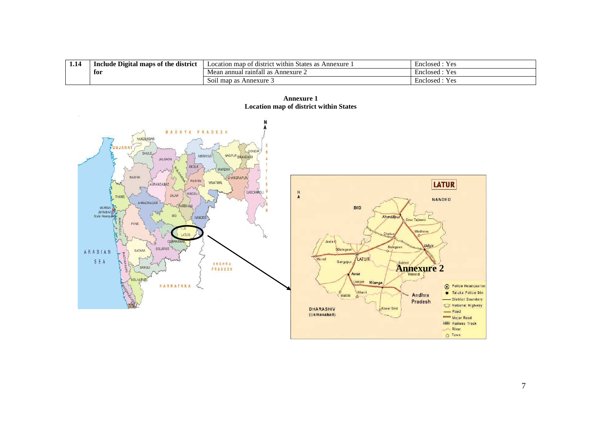| 1.14 | e Digital maps of the district<br>Include | .<br>n map of district within States as z<br>Annexure<br>Location | $\overline{\phantom{0}}$<br>$V_{\text{AC}}$<br>Enclosed<br>⊥ ∪⊾ |
|------|-------------------------------------------|-------------------------------------------------------------------|-----------------------------------------------------------------|
|      | for                                       | l rainfall as<br>Annexure $\angle$<br>Mean annual                 | $V \alpha c$<br>Enclosed<br>工厂                                  |
|      |                                           | $\degree$ Annexure $\degree$<br>Soil map as A                     | $V_{\text{AC}}$<br>Enclosed<br>工厂                               |





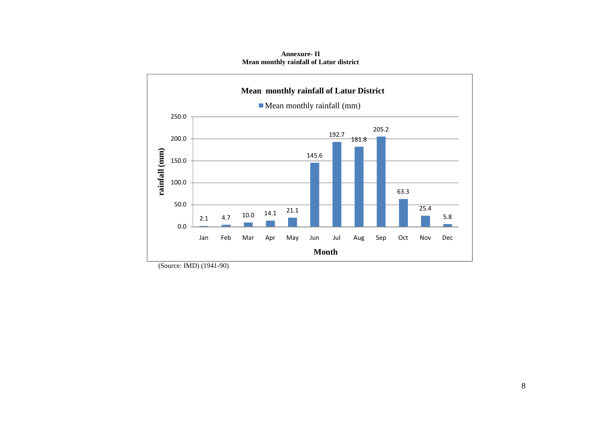**Mean monthly rainfall of Latur District**Mean monthly rainfall (mm)250.0205.2192.7200.0181.8rainfall (mm) **rainfall (mm)** 145.6150.0100.063.350.025.4 4.7 10.0 14.1 21.1 5.82.10.0Jan Feb Mar Apr May Jun Jul Aug Sep Oct Nov Dec

**Month**

**Annexure- II Mean monthly rainfall of Latur district** 

(Source: IMD) (1941-90)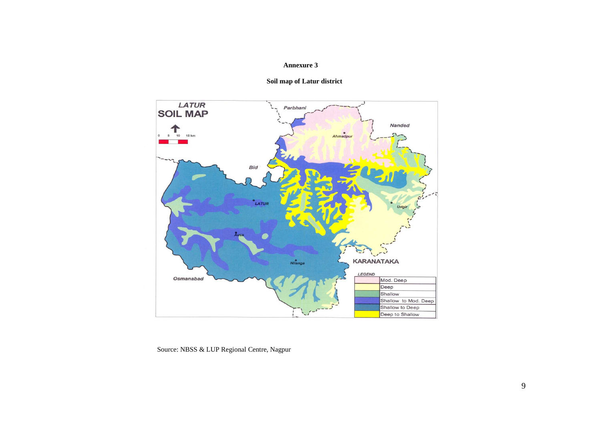#### **Annexure 3**



 **Soil map of Latur district** 

Source: NBSS & LUP Regional Centre, Nagpur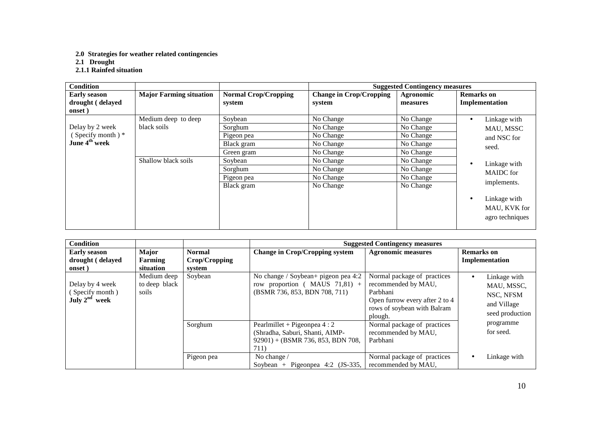**2.0 Strategies for weather related contingencies** 

**2.1 Drought 2.1.1 Rainfed situation** 

| <b>Condition</b>                                                    |                                    |                                                              |                                                               | <b>Suggested Contingency measures</b>                         |                                                                                                                              |
|---------------------------------------------------------------------|------------------------------------|--------------------------------------------------------------|---------------------------------------------------------------|---------------------------------------------------------------|------------------------------------------------------------------------------------------------------------------------------|
| <b>Early season</b><br>drought (delayed<br>onset)                   | <b>Major Farming situation</b>     | <b>Normal Crop/Cropping</b><br>system                        | <b>Change in Crop/Cropping</b><br>system                      | Agronomic<br>measures                                         | <b>Remarks</b> on<br>Implementation                                                                                          |
| Delay by 2 week<br>(Specify month) $*$<br>June 4 <sup>th</sup> week | Medium deep to deep<br>black soils | Soybean<br>Sorghum<br>Pigeon pea<br>Black gram<br>Green gram | No Change<br>No Change<br>No Change<br>No Change<br>No Change | No Change<br>No Change<br>No Change<br>No Change<br>No Change | Linkage with<br>$\bullet$<br>MAU, MSSC<br>and NSC for<br>seed.                                                               |
|                                                                     | Shallow black soils                | Soybean<br>Sorghum<br>Pigeon pea<br>Black gram               | No Change<br>No Change<br>No Change<br>No Change              | No Change<br>No Change<br>No Change<br>No Change              | Linkage with<br>$\bullet$<br><b>MAIDC</b> for<br>implements.<br>Linkage with<br>$\bullet$<br>MAU, KVK for<br>agro techniques |

| <b>Condition</b>                                         |                                       |                                          |                                                                                                                | <b>Suggested Contingency measures</b>                                                                                                      |                                                                                        |
|----------------------------------------------------------|---------------------------------------|------------------------------------------|----------------------------------------------------------------------------------------------------------------|--------------------------------------------------------------------------------------------------------------------------------------------|----------------------------------------------------------------------------------------|
| <b>Early season</b><br>drought (delayed<br>onset)        | Major<br>Farming<br>situation         | <b>Normal</b><br>Crop/Cropping<br>system | <b>Change in Crop/Cropping system</b>                                                                          | <b>Agronomic measures</b>                                                                                                                  | <b>Remarks</b> on<br>Implementation                                                    |
| Delay by 4 week<br>(Specify month)<br>July $2^{nd}$ week | Medium deep<br>to deep black<br>soils | Soybean                                  | No change / Soybean+ pigeon pea 4:2<br>row proportion ( $MAUS$ 71,81) +<br>(BSMR 736, 853, BDN 708, 711)       | Normal package of practices<br>recommended by MAU,<br>Parbhani<br>Open furrow every after 2 to 4<br>rows of soybean with Balram<br>plough. | Linkage with<br>$\bullet$<br>MAU, MSSC,<br>NSC, NFSM<br>and Village<br>seed production |
|                                                          |                                       | Sorghum                                  | Pearlmillet + Pigeonpea $4:2$<br>(Shradha, Saburi, Shanti, AIMP-<br>$92901$ + (BSMR 736, 853, BDN 708,<br>711) | Normal package of practices<br>recommended by MAU.<br>Parbhani                                                                             | programme<br>for seed.                                                                 |
|                                                          |                                       | Pigeon pea                               | No change /<br>Soybean + Pigeonpea 4:2 $(JS-335,$                                                              | Normal package of practices<br>recommended by MAU,                                                                                         | Linkage with<br>$\bullet$                                                              |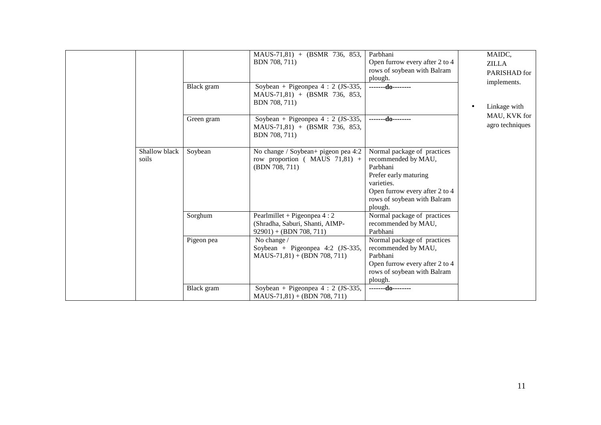|                        | Black gram | $MAUS-71,81$ + (BSMR 736, 853,<br>BDN 708, 711)<br>Soybean + Pigeonpea $4:2$ (JS-335,<br>$MAUS-71,81$ + (BSMR 736, 853,<br>BDN 708, 711) | Parbhani<br>Open furrow every after 2 to 4<br>rows of soybean with Balram<br>plough.<br>--------do--------                                                                        | MAIDC,<br><b>ZILLA</b><br>PARISHAD for<br>implements.<br>Linkage with<br>$\bullet$<br>MAU, KVK for |
|------------------------|------------|------------------------------------------------------------------------------------------------------------------------------------------|-----------------------------------------------------------------------------------------------------------------------------------------------------------------------------------|----------------------------------------------------------------------------------------------------|
|                        | Green gram | Soybean + Pigeonpea $4:2$ (JS-335,<br>MAUS-71,81) + (BSMR 736, 853,<br>BDN 708, 711)                                                     | -------do--------                                                                                                                                                                 | agro techniques                                                                                    |
| Shallow black<br>soils | Soybean    | No change / Soybean+ pigeon pea 4:2<br>row proportion ( $MAUS$ 71,81) +<br>(BDN 708, 711)                                                | Normal package of practices<br>recommended by MAU,<br>Parbhani<br>Prefer early maturing<br>varieties.<br>Open furrow every after 2 to 4<br>rows of soybean with Balram<br>plough. |                                                                                                    |
|                        | Sorghum    | Pearlmillet + Pigeonpea $4:2$<br>(Shradha, Saburi, Shanti, AIMP-<br>$92901$ + (BDN 708, 711)                                             | Normal package of practices<br>recommended by MAU,<br>Parbhani                                                                                                                    |                                                                                                    |
|                        | Pigeon pea | No change /<br>Soybean + Pigeonpea 4:2 $(JS-335,$<br>$MAUS-71,81$ + (BDN 708, 711)                                                       | Normal package of practices<br>recommended by MAU,<br>Parbhani<br>Open furrow every after 2 to 4<br>rows of soybean with Balram<br>plough.                                        |                                                                                                    |
|                        | Black gram | Soybean + Pigeonpea $4:2$ (JS-335,<br>$MAUS-71,81) + (BDN 708, 711)$                                                                     | -------do--------                                                                                                                                                                 |                                                                                                    |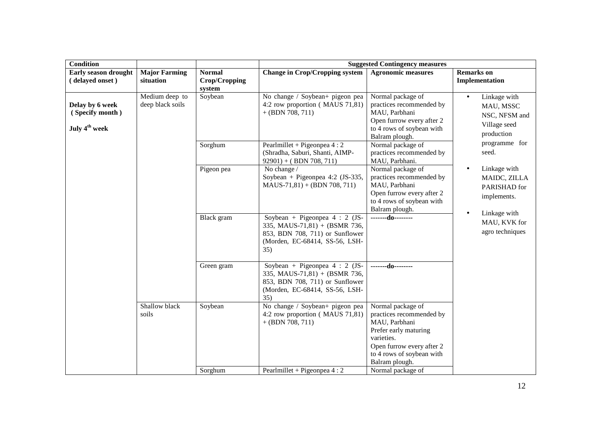| <b>Condition</b>                                                |                                    |                                          |                                                                                                                                             | <b>Suggested Contingency measures</b>                                                                                                                                                                  |                                                                                       |
|-----------------------------------------------------------------|------------------------------------|------------------------------------------|---------------------------------------------------------------------------------------------------------------------------------------------|--------------------------------------------------------------------------------------------------------------------------------------------------------------------------------------------------------|---------------------------------------------------------------------------------------|
| Early season drought<br>(delayed onset)                         | <b>Major Farming</b><br>situation  | <b>Normal</b><br>Crop/Cropping<br>system | <b>Change in Crop/Cropping system</b>                                                                                                       | <b>Agronomic measures</b>                                                                                                                                                                              | <b>Remarks</b> on<br>Implementation                                                   |
| Delay by 6 week<br>(Specify month)<br>July 4 <sup>th</sup> week | Medium deep to<br>deep black soils | Soybean                                  | No change / Soybean+ pigeon pea<br>4:2 row proportion (MAUS 71,81)<br>$+$ (BDN 708, 711)                                                    | Normal package of<br>practices recommended by<br>MAU, Parbhani<br>Open furrow every after 2<br>to 4 rows of soybean with<br>Balram plough.                                                             | Linkage with<br>$\bullet$<br>MAU, MSSC<br>NSC, NFSM and<br>Village seed<br>production |
|                                                                 |                                    | Sorghum                                  | Pearlmillet + Pigeonpea $4:2$<br>(Shradha, Saburi, Shanti, AIMP-<br>$92901$ ) + (BDN 708, 711)                                              | Normal package of<br>practices recommended by<br>MAU, Parbhani.                                                                                                                                        | programme for<br>seed.                                                                |
|                                                                 |                                    | Pigeon pea                               | No change /<br>Soybean + Pigeonpea 4:2 (JS-335,<br>$MAUS-71,81$ + (BDN 708, 711)                                                            | Normal package of<br>practices recommended by<br>MAU, Parbhani<br>Open furrow every after 2<br>to 4 rows of soybean with<br>Balram plough.                                                             | Linkage with<br>MAIDC, ZILLA<br>PARISHAD for<br>implements.                           |
|                                                                 |                                    | Black gram                               | Soybean + Pigeonpea $4:2$ (JS-<br>335, MAUS-71,81) + (BSMR 736,<br>853, BDN 708, 711) or Sunflower<br>(Morden, EC-68414, SS-56, LSH-<br>35) | -------do--------                                                                                                                                                                                      | Linkage with<br>$\bullet$<br>MAU, KVK for<br>agro techniques                          |
|                                                                 |                                    | Green gram                               | Soybean + Pigeonpea $4:2$ (JS-<br>335, MAUS-71,81) + (BSMR 736,<br>853, BDN 708, 711) or Sunflower<br>(Morden, EC-68414, SS-56, LSH-<br>35) | $---d0---$                                                                                                                                                                                             |                                                                                       |
|                                                                 | Shallow black<br>soils             | Soybean<br>Sorghum                       | No change / Soybean+ pigeon pea<br>4:2 row proportion (MAUS 71,81)<br>$+$ (BDN 708, 711)<br>Pearlmillet + Pigeonpea $4:2$                   | Normal package of<br>practices recommended by<br>MAU, Parbhani<br>Prefer early maturing<br>varieties.<br>Open furrow every after 2<br>to 4 rows of soybean with<br>Balram plough.<br>Normal package of |                                                                                       |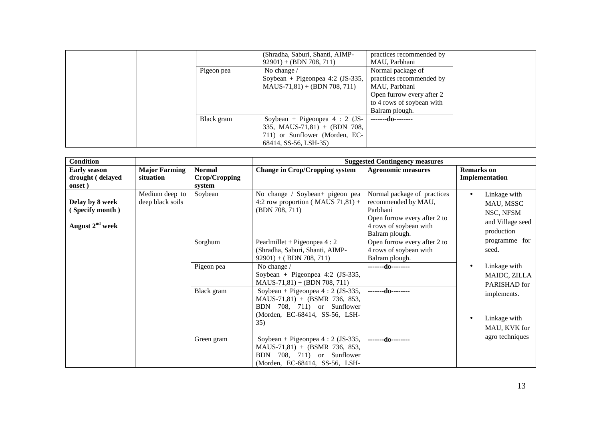|            | (Shradha, Saburi, Shanti, AIMP-<br>$92901$ + (BDN 708, 711) | practices recommended by<br>MAU, Parbhani |  |
|------------|-------------------------------------------------------------|-------------------------------------------|--|
| Pigeon pea | No change $/$                                               | Normal package of                         |  |
|            | Soybean + Pigeonpea 4:2 $(JS-335,$                          | practices recommended by                  |  |
|            | $MAUS-71,81$ + (BDN 708, 711)                               | MAU, Parbhani                             |  |
|            |                                                             | Open furrow every after 2                 |  |
|            |                                                             | to 4 rows of soybean with                 |  |
|            |                                                             | Balram plough.                            |  |
| Black gram | Soybean + Pigeonpea $4:2$ (JS-                              | -------do--------                         |  |
|            | 335, MAUS-71,81) + (BDN 708,                                |                                           |  |
|            | 711) or Sunflower (Morden, EC-                              |                                           |  |
|            | 68414, SS-56, LSH-35)                                       |                                           |  |

| <b>Condition</b>                                        |                                    |                                          |                                                                                                                                                | <b>Suggested Contingency measures</b>                                                                                                      |                                                                                       |
|---------------------------------------------------------|------------------------------------|------------------------------------------|------------------------------------------------------------------------------------------------------------------------------------------------|--------------------------------------------------------------------------------------------------------------------------------------------|---------------------------------------------------------------------------------------|
| <b>Early season</b><br>drought (delayed<br>onset)       | <b>Major Farming</b><br>situation  | <b>Normal</b><br>Crop/Cropping<br>system | <b>Change in Crop/Cropping system</b>                                                                                                          | <b>Agronomic measures</b>                                                                                                                  | <b>Remarks</b> on<br>Implementation                                                   |
| Delay by 8 week<br>(Specify month)<br>August $2nd$ week | Medium deep to<br>deep black soils | Soybean                                  | No change / Soybean+ pigeon pea<br>4:2 row proportion (MAUS $71,81$ ) +<br>(BDN 708, 711)                                                      | Normal package of practices<br>recommended by MAU,<br>Parbhani<br>Open furrow every after 2 to<br>4 rows of soybean with<br>Balram plough. | Linkage with<br>$\bullet$<br>MAU, MSSC<br>NSC, NFSM<br>and Village seed<br>production |
|                                                         |                                    | Sorghum                                  | Pearlmillet + Pigeonpea $4:2$<br>(Shradha, Saburi, Shanti, AIMP-<br>$92901$ + (BDN 708, 711)                                                   | Open furrow every after 2 to<br>4 rows of soybean with<br>Balram plough.                                                                   | programme for<br>seed.                                                                |
|                                                         |                                    | Pigeon pea                               | No change /<br>Soybean + Pigeonpea 4:2 (JS-335,<br>$MAUS-71,81) + (BDN 708, 711)$                                                              | --------do--------                                                                                                                         | Linkage with<br>$\bullet$<br>MAIDC, ZILLA<br>PARISHAD for                             |
|                                                         |                                    | Black gram                               | Soybean + Pigeonpea $4:2$ (JS-335,<br>MAUS-71,81) + (BSMR 736, 853,<br>BDN 708, 711) or Sunflower<br>(Morden, EC-68414, SS-56, LSH-<br>35)     | -------do--------                                                                                                                          | implements.<br>Linkage with<br>$\bullet$<br>MAU, KVK for                              |
|                                                         |                                    | Green gram                               | Soybean + Pigeonpea $4:2$ (JS-335,<br>$MAUS-71,81$ + (BSMR 736, 853,<br>708, 711) or Sunflower<br><b>BDN</b><br>(Morden, EC-68414, SS-56, LSH- | -------do--------                                                                                                                          | agro techniques                                                                       |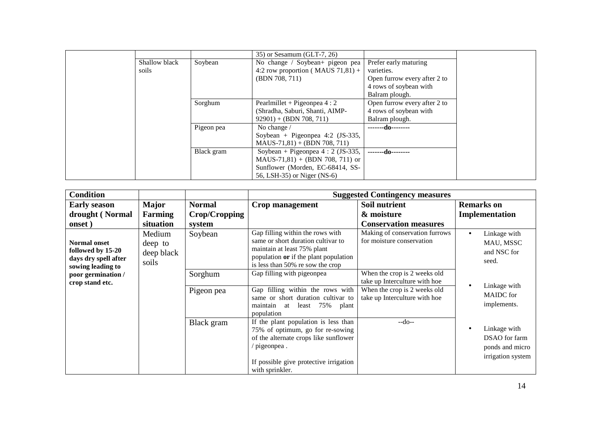|               |            | $(35)$ or Sesamum (GLT-7, 26)        |                              |
|---------------|------------|--------------------------------------|------------------------------|
| Shallow black | Soybean    | No change / Soybean+ pigeon pea      | Prefer early maturing        |
| soils         |            | 4:2 row proportion (MAUS $71,81$ ) + | varieties.                   |
|               |            | (BDN 708, 711)                       | Open furrow every after 2 to |
|               |            |                                      | 4 rows of soybean with       |
|               |            |                                      | Balram plough.               |
|               | Sorghum    | Pearlmillet + Pigeonpea $4:2$        | Open furrow every after 2 to |
|               |            | (Shradha, Saburi, Shanti, AIMP-      | 4 rows of soybean with       |
|               |            | $92901$ + (BDN 708, 711)             | Balram plough.               |
|               | Pigeon pea | No change /                          | -------do--------            |
|               |            | Soybean + Pigeonpea 4:2 $(JS-335,$   |                              |
|               |            | $MAUS-71,81$ + (BDN 708, 711)        |                              |
|               | Black gram | Soybean + Pigeonpea $4:2$ (JS-335,   | -------do--------            |
|               |            | $MAUS-71,81$ + (BDN 708, 711) or     |                              |
|               |            | Sunflower (Morden, EC-68414, SS-     |                              |
|               |            | 56, LSH-35) or Niger (NS-6)          |                              |

| <b>Condition</b>                                                                      |                                          |               |                                                                                                                                                                                              | <b>Suggested Contingency measures</b>                         |                                                                                    |
|---------------------------------------------------------------------------------------|------------------------------------------|---------------|----------------------------------------------------------------------------------------------------------------------------------------------------------------------------------------------|---------------------------------------------------------------|------------------------------------------------------------------------------------|
| <b>Early season</b>                                                                   | <b>Major</b>                             | <b>Normal</b> | Crop management                                                                                                                                                                              | Soil nutrient                                                 | <b>Remarks</b> on                                                                  |
| drought (Normal                                                                       | Farming                                  | Crop/Cropping |                                                                                                                                                                                              | & moisture                                                    | Implementation                                                                     |
| onset)                                                                                | situation                                | system        |                                                                                                                                                                                              | <b>Conservation measures</b>                                  |                                                                                    |
| <b>Normal onset</b><br>followed by 15-20<br>days dry spell after<br>sowing leading to | Medium<br>deep to<br>deep black<br>soils | Soybean       | Gap filling within the rows with<br>same or short duration cultivar to<br>maintain at least 75% plant<br>population or if the plant population<br>is less than 50% re sow the crop           | Making of conservation furrows<br>for moisture conservation   | Linkage with<br>$\bullet$<br>MAU, MSSC<br>and NSC for<br>seed.                     |
| poor germination /<br>crop stand etc.                                                 |                                          | Sorghum       | Gap filling with pigeonpea                                                                                                                                                                   | When the crop is 2 weeks old<br>take up Interculture with hoe | Linkage with<br>$\bullet$                                                          |
|                                                                                       |                                          | Pigeon pea    | Gap filling within the rows with<br>same or short duration cultivar to<br>least 75% plant<br>maintain<br>at<br>population                                                                    | When the crop is 2 weeks old<br>take up Interculture with hoe | <b>MAIDC</b> for<br>implements.                                                    |
|                                                                                       |                                          | Black gram    | If the plant population is less than<br>75% of optimum, go for re-sowing<br>of the alternate crops like sunflower<br>pigeonpea.<br>If possible give protective irrigation<br>with sprinkler. | $-do-$                                                        | Linkage with<br>$\bullet$<br>DSAO for farm<br>ponds and micro<br>irrigation system |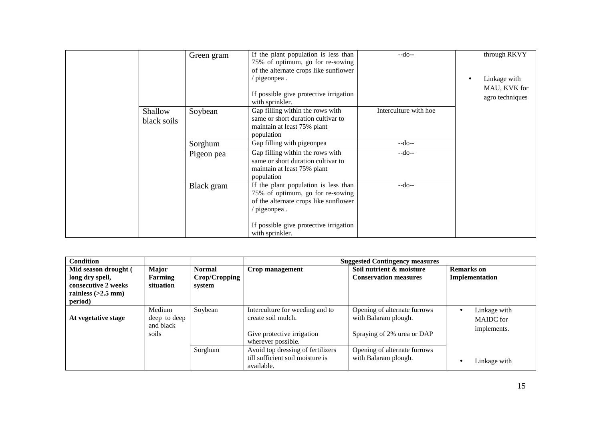|                        | Green gram | If the plant population is less than<br>75% of optimum, go for re-sowing<br>of the alternate crops like sunflower                        | $-do-$                | through RKVY                                    |
|------------------------|------------|------------------------------------------------------------------------------------------------------------------------------------------|-----------------------|-------------------------------------------------|
|                        |            | $\frac{1}{2}$ pigeonpea.<br>If possible give protective irrigation<br>with sprinkler.                                                    |                       | Linkage with<br>MAU, KVK for<br>agro techniques |
| Shallow<br>black soils | Soybean    | Gap filling within the rows with<br>same or short duration cultivar to<br>maintain at least 75% plant<br>population                      | Interculture with hoe |                                                 |
|                        | Sorghum    | Gap filling with pigeonpea                                                                                                               | $-do-$                |                                                 |
|                        | Pigeon pea | Gap filling within the rows with<br>same or short duration cultivar to<br>maintain at least 75% plant<br>population                      | $-do-$                |                                                 |
|                        | Black gram | If the plant population is less than<br>75% of optimum, go for re-sowing<br>of the alternate crops like sunflower<br>$\gamma$ pigeonpea. | $-do-$                |                                                 |
|                        |            | If possible give protective irrigation<br>with sprinkler.                                                                                |                       |                                                 |

| <b>Condition</b>                                                                                  |                                              |                                          |                                                                                                           | <b>Suggested Contingency measures</b>                                              |                                          |
|---------------------------------------------------------------------------------------------------|----------------------------------------------|------------------------------------------|-----------------------------------------------------------------------------------------------------------|------------------------------------------------------------------------------------|------------------------------------------|
| Mid season drought (<br>long dry spell,<br>consecutive 2 weeks<br>rainless $(>2.5$ mm)<br>period) | <b>Major</b><br>Farming<br>situation         | <b>Normal</b><br>Crop/Cropping<br>system | Crop management                                                                                           | Soil nutrient & moisture<br><b>Conservation measures</b>                           | <b>Remarks</b> on<br>Implementation      |
| At vegetative stage                                                                               | Medium<br>deep to deep<br>and black<br>soils | Soybean                                  | Interculture for weeding and to<br>create soil mulch.<br>Give protective irrigation<br>wherever possible. | Opening of alternate furrows<br>with Balaram plough.<br>Spraying of 2% urea or DAP | Linkage with<br>MAIDC for<br>implements. |
|                                                                                                   |                                              | Sorghum                                  | Avoid top dressing of fertilizers<br>till sufficient soil moisture is<br>available.                       | Opening of alternate furrows<br>with Balaram plough.                               | Linkage with                             |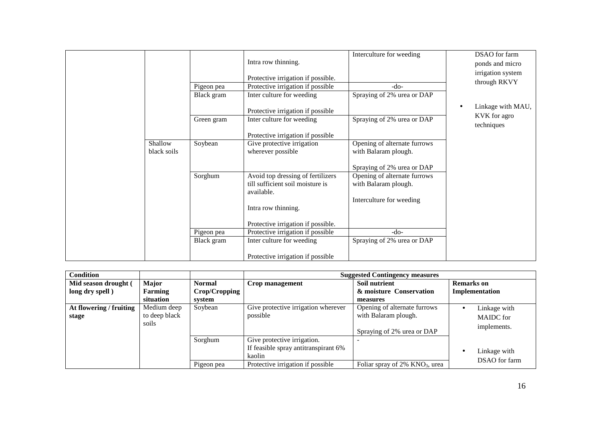|                        |            | Intra row thinning.                                                                 | Interculture for weeding                             | DSAO for farm<br>ponds and micro<br>irrigation system |
|------------------------|------------|-------------------------------------------------------------------------------------|------------------------------------------------------|-------------------------------------------------------|
|                        |            | Protective irrigation if possible.                                                  |                                                      | through RKVY                                          |
|                        | Pigeon pea | Protective irrigation if possible                                                   | $-do-$                                               |                                                       |
|                        | Black gram | Inter culture for weeding                                                           | Spraying of 2% urea or DAP                           |                                                       |
|                        |            | Protective irrigation if possible                                                   |                                                      | Linkage with MAU,<br>$\bullet$                        |
|                        | Green gram | Inter culture for weeding                                                           | Spraying of 2% urea or DAP                           | KVK for agro<br>techniques                            |
|                        |            | Protective irrigation if possible                                                   |                                                      |                                                       |
| Shallow<br>black soils | Soybean    | Give protective irrigation<br>wherever possible                                     | Opening of alternate furrows<br>with Balaram plough. |                                                       |
|                        |            |                                                                                     | Spraying of 2% urea or DAP                           |                                                       |
|                        | Sorghum    | Avoid top dressing of fertilizers<br>till sufficient soil moisture is<br>available. | Opening of alternate furrows<br>with Balaram plough. |                                                       |
|                        |            | Intra row thinning.                                                                 | Interculture for weeding                             |                                                       |
|                        |            | Protective irrigation if possible.                                                  |                                                      |                                                       |
|                        | Pigeon pea | Protective irrigation if possible                                                   | $-do-$                                               |                                                       |
|                        | Black gram | Inter culture for weeding                                                           | Spraying of 2% urea or DAP                           |                                                       |
|                        |            | Protective irrigation if possible                                                   |                                                      |                                                       |

| <b>Condition</b>                 |                                       |                       |                                                                                                                    | <b>Suggested Contingency measures</b>                                              |                                                 |  |  |  |
|----------------------------------|---------------------------------------|-----------------------|--------------------------------------------------------------------------------------------------------------------|------------------------------------------------------------------------------------|-------------------------------------------------|--|--|--|
| Mid season drought (             | <b>Major</b>                          | <b>Normal</b>         | Crop management                                                                                                    | Soil nutrient                                                                      | <b>Remarks</b> on                               |  |  |  |
| long dry spell)                  | Farming                               | Crop/Cropping         |                                                                                                                    | & moisture Conservation                                                            | Implementation                                  |  |  |  |
|                                  | situation                             | system                |                                                                                                                    | measures                                                                           |                                                 |  |  |  |
| At flowering / fruiting<br>stage | Medium deep<br>to deep black<br>soils | Soybean               | Give protective irrigation wherever<br>possible                                                                    | Opening of alternate furrows<br>with Balaram plough.<br>Spraying of 2% urea or DAP | Linkage with<br><b>MAIDC</b> for<br>implements. |  |  |  |
|                                  |                                       | Sorghum<br>Pigeon pea | Give protective irrigation.<br>If feasible spray antitranspirant 6%<br>kaolin<br>Protective irrigation if possible | Foliar spray of $2\%$ KNO <sub>3</sub> , urea                                      | Linkage with<br>DSAO for farm                   |  |  |  |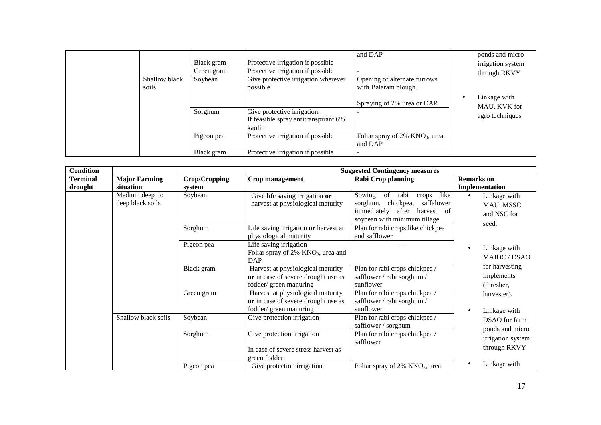|                        |            |                                                                     | and DAP                                              | ponds and micro              |
|------------------------|------------|---------------------------------------------------------------------|------------------------------------------------------|------------------------------|
|                        | Black gram | Protective irrigation if possible                                   |                                                      | irrigation system            |
|                        | Green gram | Protective irrigation if possible                                   |                                                      | through RKVY                 |
| Shallow black<br>soils | Soybean    | Give protective irrigation wherever<br>possible                     | Opening of alternate furrows<br>with Balaram plough. |                              |
|                        |            |                                                                     |                                                      |                              |
|                        |            |                                                                     | Spraying of 2% urea or DAP                           | Linkage with<br>MAU, KVK for |
|                        | Sorghum    | Give protective irrigation.<br>If feasible spray antitranspirant 6% |                                                      | agro techniques              |
|                        |            | kaolin                                                              |                                                      |                              |
|                        | Pigeon pea | Protective irrigation if possible                                   | Foliar spray of $2\%$ KNO <sub>3</sub> , urea        |                              |
|                        |            |                                                                     | and DAP                                              |                              |
|                        | Black gram | Protective irrigation if possible                                   |                                                      |                              |

| <b>Condition</b> |                                    |               | <b>Suggested Contingency measures</b>                                                              |                                                                                                                                                    |                                                                |  |  |
|------------------|------------------------------------|---------------|----------------------------------------------------------------------------------------------------|----------------------------------------------------------------------------------------------------------------------------------------------------|----------------------------------------------------------------|--|--|
| <b>Terminal</b>  | <b>Major Farming</b>               | Crop/Cropping | <b>Crop management</b>                                                                             | <b>Rabi Crop planning</b>                                                                                                                          | <b>Remarks</b> on                                              |  |  |
| drought          | situation                          | system        |                                                                                                    |                                                                                                                                                    | Implementation                                                 |  |  |
|                  | Medium deep to<br>deep black soils | Soybean       | Give life saving irrigation or<br>harvest at physiological maturity                                | like<br>Sowing<br>of<br>rabi<br>crops<br>sorghum,<br>chickpea,<br>saffalower<br>immediately<br>harvest of<br>after<br>soybean with minimum tillage | Linkage with<br>$\bullet$<br>MAU, MSSC<br>and NSC for<br>seed. |  |  |
|                  |                                    | Sorghum       | Life saving irrigation or harvest at<br>physiological maturity                                     | Plan for rabi crops like chickpea<br>and safflower                                                                                                 |                                                                |  |  |
|                  |                                    | Pigeon pea    | Life saving irrigation<br>Foliar spray of 2% KNO <sub>3</sub> , urea and<br><b>DAP</b>             |                                                                                                                                                    | Linkage with<br>MAIDC / DSAO                                   |  |  |
|                  |                                    | Black gram    | Harvest at physiological maturity<br>or in case of severe drought use as<br>fodder/green manuring  | Plan for rabi crops chickpea /<br>safflower / rabi sorghum /<br>sunflower                                                                          | for harvesting<br>implements<br>(thresher,                     |  |  |
|                  |                                    | Green gram    | Harvest at physiological maturity<br>or in case of severe drought use as<br>fodder/ green manuring | Plan for rabi crops chickpea /<br>safflower / rabi sorghum /<br>sunflower                                                                          | harvester).<br>Linkage with                                    |  |  |
|                  | Shallow black soils                | Soybean       | Give protection irrigation                                                                         | Plan for rabi crops chickpea /<br>safflower / sorghum                                                                                              | DSAO for farm<br>ponds and micro                               |  |  |
|                  |                                    | Sorghum       | Give protection irrigation<br>In case of severe stress harvest as<br>green fodder                  | Plan for rabi crops chickpea /<br>safflower                                                                                                        | irrigation system<br>through RKVY                              |  |  |
|                  |                                    | Pigeon pea    | Give protection irrigation                                                                         | Foliar spray of $2\%$ KNO <sub>3</sub> , urea                                                                                                      | Linkage with                                                   |  |  |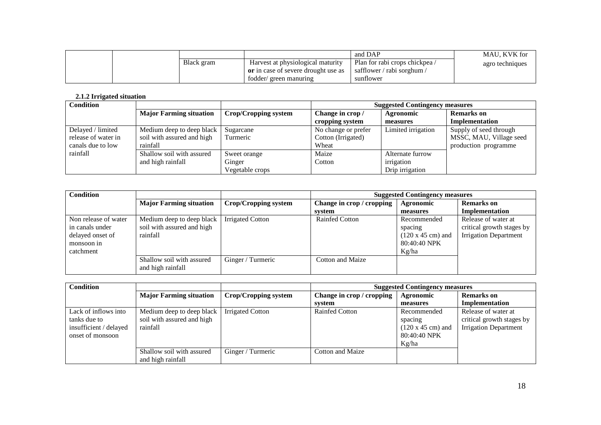|  |            |                                     | and DAP                       | MAU. KVK for    |
|--|------------|-------------------------------------|-------------------------------|-----------------|
|  | Black gram | Harvest at physiological maturity   | Plan for rabi crops chickpea/ | agro techniques |
|  |            | or in case of severe drought use as | safflower / rabi sorghum /    |                 |
|  |            | fodder/ green manuring              | suntlower                     |                 |

#### **2.1.2 Irrigated situation**

| <b>Condition</b>    |                                |                      | <b>Suggested Contingency measures</b> |                    |                         |
|---------------------|--------------------------------|----------------------|---------------------------------------|--------------------|-------------------------|
|                     | <b>Major Farming situation</b> | Crop/Cropping system | Change in crop /                      | Agronomic          | <b>Remarks</b> on       |
|                     |                                |                      | cropping system                       | measures           | Implementation          |
| Delayed / limited   | Medium deep to deep black      | Sugarcane            | No change or prefer                   | Limited irrigation | Supply of seed through  |
| release of water in | soil with assured and high     | Turmeric             | Cotton (Irrigated)                    |                    | MSSC, MAU, Village seed |
| canals due to low   | rainfall                       |                      | Wheat                                 |                    | production programme    |
| rainfall            | Shallow soil with assured      | Sweet orange         | Maize                                 | Alternate furrow   |                         |
|                     | and high rainfall              | Ginger               | Cotton                                | irrigation         |                         |
|                     |                                | Vegetable crops      |                                       | Drip irrigation    |                         |

| <b>Condition</b>                                                                       |                                                                     |                             |                           | <b>Suggested Contingency measures</b>                                               |                                                                                  |  |  |
|----------------------------------------------------------------------------------------|---------------------------------------------------------------------|-----------------------------|---------------------------|-------------------------------------------------------------------------------------|----------------------------------------------------------------------------------|--|--|
|                                                                                        | <b>Major Farming situation</b>                                      | <b>Crop/Cropping system</b> | Change in crop / cropping | Agronomic                                                                           | <b>Remarks</b> on                                                                |  |  |
|                                                                                        |                                                                     |                             | system                    | measures                                                                            | Implementation                                                                   |  |  |
| Non release of water<br>in canals under<br>delayed onset of<br>monsoon in<br>catchment | Medium deep to deep black<br>soil with assured and high<br>rainfall | <b>Irrigated Cotton</b>     | <b>Rainfed Cotton</b>     | Recommended<br>spacing<br>$(120 \times 45 \text{ cm})$ and<br>80:40:40 NPK<br>Kg/ha | Release of water at<br>critical growth stages by<br><b>Irrigation Department</b> |  |  |
|                                                                                        | Shallow soil with assured<br>and high rainfall                      | Ginger / Turmeric           | Cotton and Maize          |                                                                                     |                                                                                  |  |  |

| <b>Condition</b>                                                                   |                                                                     |                         | <b>Suggested Contingency measures</b> |                                                                                     |                                                                                  |  |
|------------------------------------------------------------------------------------|---------------------------------------------------------------------|-------------------------|---------------------------------------|-------------------------------------------------------------------------------------|----------------------------------------------------------------------------------|--|
|                                                                                    | <b>Major Farming situation</b>                                      | Crop/Cropping system    | Change in crop / cropping             | <b>Agronomic</b>                                                                    | <b>Remarks</b> on                                                                |  |
|                                                                                    |                                                                     |                         | system                                | measures                                                                            | Implementation                                                                   |  |
| Lack of inflows into<br>tanks due to<br>insufficient / delayed<br>onset of monsoon | Medium deep to deep black<br>soil with assured and high<br>rainfall | <b>Irrigated Cotton</b> | <b>Rainfed Cotton</b>                 | Recommended<br>spacing<br>$(120 \times 45 \text{ cm})$ and<br>80:40:40 NPK<br>Kg/ha | Release of water at<br>critical growth stages by<br><b>Irrigation Department</b> |  |
|                                                                                    | Shallow soil with assured<br>and high rainfall                      | Ginger / Turmeric       | Cotton and Maize                      |                                                                                     |                                                                                  |  |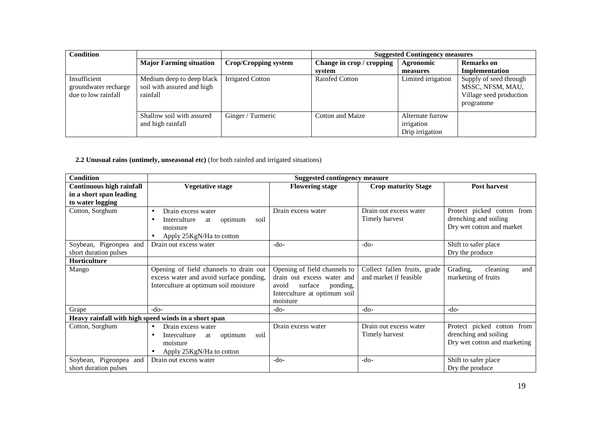| <b>Condition</b>                                            |                                                                     |                         | <b>Suggested Contingency measures</b> |                                                   |                                                                                    |
|-------------------------------------------------------------|---------------------------------------------------------------------|-------------------------|---------------------------------------|---------------------------------------------------|------------------------------------------------------------------------------------|
|                                                             | <b>Major Farming situation</b>                                      | Crop/Cropping system    | Change in crop / cropping             | Agronomic                                         | <b>Remarks</b> on                                                                  |
|                                                             |                                                                     |                         | system                                | measures                                          | Implementation                                                                     |
| Insufficient<br>groundwater recharge<br>due to low rainfall | Medium deep to deep black<br>soil with assured and high<br>rainfall | <b>Irrigated Cotton</b> | <b>Rainfed Cotton</b>                 | Limited irrigation                                | Supply of seed through<br>MSSC, NFSM, MAU,<br>Village seed production<br>programme |
|                                                             | Shallow soil with assured<br>and high rainfall                      | Ginger / Turmeric       | Cotton and Maize                      | Alternate furrow<br>irrigation<br>Drip irrigation |                                                                                    |

**2.2 Unusual rains (untimely, unseasonal etc)** (for both rainfed and irrigated situations)

| <b>Condition</b>                | <b>Suggested contingency measure</b>                 |                              |                              |                              |
|---------------------------------|------------------------------------------------------|------------------------------|------------------------------|------------------------------|
| <b>Continuous high rainfall</b> | <b>Vegetative stage</b>                              | <b>Flowering stage</b>       | <b>Crop maturity Stage</b>   | Post harvest                 |
| in a short span leading         |                                                      |                              |                              |                              |
| to water logging                |                                                      |                              |                              |                              |
| Cotton, Sorghum                 | Drain excess water<br>$\bullet$                      | Drain excess water           | Drain out excess water       | Protect picked cotton from   |
|                                 | Interculture<br>soil<br>optimum<br>at                |                              | Timely harvest               | drenching and soiling        |
|                                 | moisture                                             |                              |                              | Dry wet cotton and market    |
|                                 | Apply 25KgN/Ha to cotton                             |                              |                              |                              |
| Soybean, Pigeonpea and          | Drain out excess water                               | $-do-$                       | $-do-$                       | Shift to safer place         |
| short duration pulses           |                                                      |                              |                              | Dry the produce              |
| Horticulture                    |                                                      |                              |                              |                              |
| Mango                           | Opening of field channels to drain out               | Opening of field channels to | Collect fallen fruits, grade | Grading,<br>cleaning<br>and  |
|                                 | excess water and avoid surface ponding,              | drain out excess water and   | and market if feasible       | marketing of fruits          |
|                                 | Interculture at optimum soil moisture                | surface<br>avoid<br>ponding, |                              |                              |
|                                 |                                                      | Interculture at optimum soil |                              |                              |
|                                 |                                                      | moisture                     |                              |                              |
| Grape                           | $-do-$                                               | $-do-$                       | $-do-$                       | $-do-$                       |
|                                 | Heavy rainfall with high speed winds in a short span |                              |                              |                              |
| Cotton, Sorghum                 | Drain excess water<br>$\bullet$                      | Drain excess water           | Drain out excess water       | Protect picked cotton from   |
|                                 | Interculture<br>soil<br>optimum<br>at                |                              | Timely harvest               | drenching and soiling        |
|                                 | moisture                                             |                              |                              | Dry wet cotton and marketing |
|                                 | Apply 25KgN/Ha to cotton                             |                              |                              |                              |
| Soybean, Pigeonpea and          | Drain out excess water                               | $-do-$                       | $-do-$                       | Shift to safer place         |
| short duration pulses           |                                                      |                              |                              | Dry the produce              |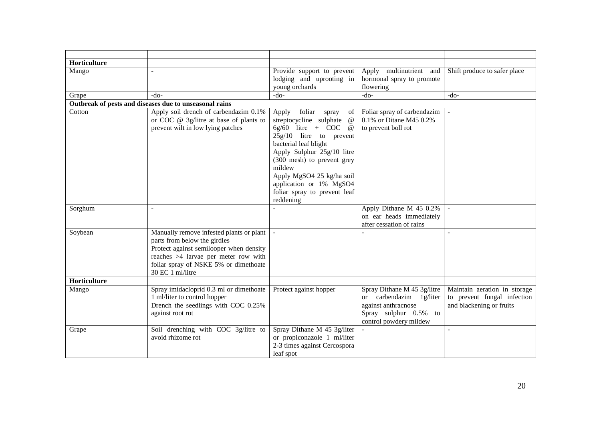| Horticulture |                                                                         |                                                                          |                                                        |                                                             |
|--------------|-------------------------------------------------------------------------|--------------------------------------------------------------------------|--------------------------------------------------------|-------------------------------------------------------------|
| Mango        | $\mathbf{r}$                                                            | Provide support to prevent<br>lodging and uprooting in                   | Apply multinutrient and<br>hormonal spray to promote   | Shift produce to safer place                                |
|              |                                                                         | young orchards                                                           | flowering                                              |                                                             |
| Grape        | $-do-$                                                                  | $-do-$                                                                   | $-do-$                                                 | $-do-$                                                      |
|              | Outbreak of pests and diseases due to unseasonal rains                  |                                                                          |                                                        |                                                             |
| Cotton       | Apply soil drench of carbendazim 0.1%                                   | Apply foliar<br>spray<br>of                                              | Foliar spray of carbendazim                            |                                                             |
|              | or COC @ 3g/litre at base of plants to                                  | streptocycline sulphate<br>$\omega$                                      | 0.1% or Ditane M45 0.2%                                |                                                             |
|              | prevent wilt in low lying patches                                       | $6g/60$ litre + COC<br>$\omega$                                          | to prevent boll rot                                    |                                                             |
|              |                                                                         | $25g/10$ litre to prevent                                                |                                                        |                                                             |
|              |                                                                         | bacterial leaf blight                                                    |                                                        |                                                             |
|              |                                                                         | Apply Sulphur 25g/10 litre                                               |                                                        |                                                             |
|              |                                                                         | (300 mesh) to prevent grey                                               |                                                        |                                                             |
|              |                                                                         | mildew                                                                   |                                                        |                                                             |
|              |                                                                         | Apply MgSO4 25 kg/ha soil                                                |                                                        |                                                             |
|              |                                                                         | application or 1% MgSO4                                                  |                                                        |                                                             |
|              |                                                                         | foliar spray to prevent leaf                                             |                                                        |                                                             |
|              |                                                                         | reddening                                                                |                                                        |                                                             |
| Sorghum      |                                                                         |                                                                          | Apply Dithane M 45 0.2%                                |                                                             |
|              |                                                                         |                                                                          | on ear heads immediately                               |                                                             |
|              |                                                                         |                                                                          | after cessation of rains                               |                                                             |
| Soybean      | Manually remove infested plants or plant                                | $\sim$                                                                   |                                                        |                                                             |
|              | parts from below the girdles                                            |                                                                          |                                                        |                                                             |
|              | Protect against semilooper when density                                 |                                                                          |                                                        |                                                             |
|              | reaches >4 larvae per meter row with                                    |                                                                          |                                                        |                                                             |
|              | foliar spray of NSKE 5% or dimethoate<br>30 EC 1 ml/litre               |                                                                          |                                                        |                                                             |
| Horticulture |                                                                         |                                                                          |                                                        |                                                             |
|              |                                                                         |                                                                          |                                                        |                                                             |
| Mango        | Spray imidacloprid 0.3 ml or dimethoate<br>1 ml/liter to control hopper | Protect against hopper                                                   | Spray Dithane M 45 3g/litre<br>or carbendazim 1g/liter | Maintain aeration in storage<br>to prevent fungal infection |
|              | Drench the seedlings with COC 0.25%                                     |                                                                          | against anthracnose                                    | and blackening or fruits                                    |
|              | against root rot                                                        |                                                                          | Spray sulphur 0.5% to                                  |                                                             |
|              |                                                                         |                                                                          | control powdery mildew                                 |                                                             |
| Grape        | Soil drenching with COC 3g/litre to                                     | Spray Dithane M 45 3g/liter                                              | $\mathbf{r}$                                           | $\overline{a}$                                              |
|              |                                                                         |                                                                          |                                                        |                                                             |
|              |                                                                         |                                                                          |                                                        |                                                             |
|              |                                                                         |                                                                          |                                                        |                                                             |
|              | avoid rhizome rot                                                       | or propiconazole 1 ml/liter<br>2-3 times against Cercospora<br>leaf spot |                                                        |                                                             |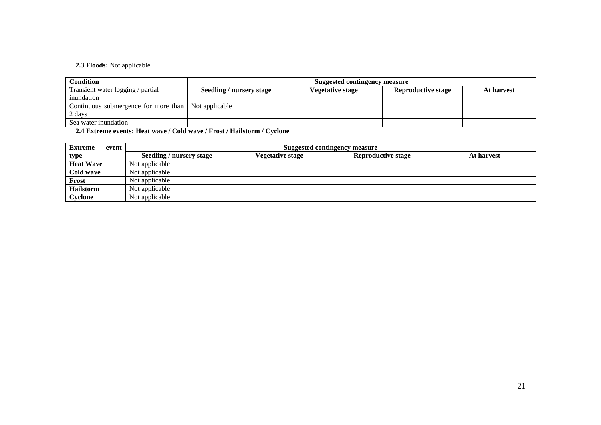### **2.3 Floods:** Not applicable

| <b>Condition</b>                                      |                          | Suggested contingency measure |                           |            |  |  |
|-------------------------------------------------------|--------------------------|-------------------------------|---------------------------|------------|--|--|
| Transient water logging / partial                     | Seedling / nursery stage | Vegetative stage              | <b>Reproductive stage</b> | At harvest |  |  |
| inundation                                            |                          |                               |                           |            |  |  |
| Continuous submergence for more than   Not applicable |                          |                               |                           |            |  |  |
| 2 days                                                |                          |                               |                           |            |  |  |
| Sea water inundation                                  |                          |                               |                           |            |  |  |

**2.4 Extreme events: Heat wave / Cold wave / Frost / Hailstorm / Cyclone** 

| <b>Extreme</b>   | event | <b>Suggested contingency measure</b> |                  |                           |            |
|------------------|-------|--------------------------------------|------------------|---------------------------|------------|
| type             |       | <b>Seedling / nursery stage</b>      | Vegetative stage | <b>Reproductive stage</b> | At harvest |
| <b>Heat Wave</b> |       | Not applicable                       |                  |                           |            |
| Cold wave        |       | Not applicable                       |                  |                           |            |
| Frost            |       | Not applicable                       |                  |                           |            |
| Hailstorm        |       | Not applicable                       |                  |                           |            |
| Cyclone          |       | Not applicable                       |                  |                           |            |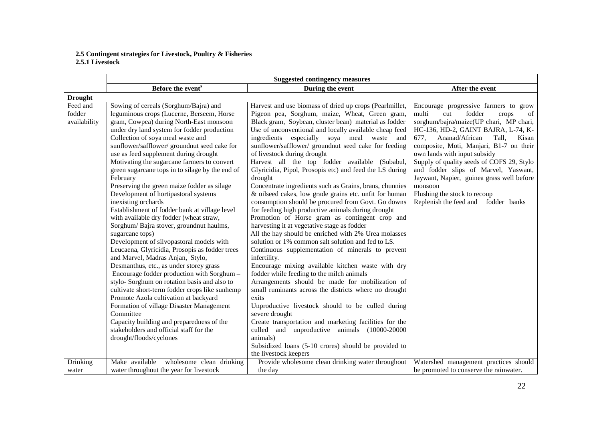## **2.5 Contingent strategies for Livestock, Poultry & Fisheries 2.5.1 Livestock**

|                                    | <b>Suggested contingency measures</b>                                                                                                                                                                                                                                                                                                                                                                                                                                                                                                                                                                                                                                                                                                                                                                                                                                                                                                                                                                                                                                                                                                                                                                                                             |                                                                                                                                                                                                                                                                                                                                                                                                                                                                                                                                                                                                                                                                                                                                                                                                                                                                                                                                                                                                                                                                                                                                                                                                                                                                                                                                                                                                                                                                                                                           |                                                                                                                                                                                                                                                                                                                                                                                                                                                                                                             |  |
|------------------------------------|---------------------------------------------------------------------------------------------------------------------------------------------------------------------------------------------------------------------------------------------------------------------------------------------------------------------------------------------------------------------------------------------------------------------------------------------------------------------------------------------------------------------------------------------------------------------------------------------------------------------------------------------------------------------------------------------------------------------------------------------------------------------------------------------------------------------------------------------------------------------------------------------------------------------------------------------------------------------------------------------------------------------------------------------------------------------------------------------------------------------------------------------------------------------------------------------------------------------------------------------------|---------------------------------------------------------------------------------------------------------------------------------------------------------------------------------------------------------------------------------------------------------------------------------------------------------------------------------------------------------------------------------------------------------------------------------------------------------------------------------------------------------------------------------------------------------------------------------------------------------------------------------------------------------------------------------------------------------------------------------------------------------------------------------------------------------------------------------------------------------------------------------------------------------------------------------------------------------------------------------------------------------------------------------------------------------------------------------------------------------------------------------------------------------------------------------------------------------------------------------------------------------------------------------------------------------------------------------------------------------------------------------------------------------------------------------------------------------------------------------------------------------------------------|-------------------------------------------------------------------------------------------------------------------------------------------------------------------------------------------------------------------------------------------------------------------------------------------------------------------------------------------------------------------------------------------------------------------------------------------------------------------------------------------------------------|--|
|                                    | Before the event <sup>s</sup>                                                                                                                                                                                                                                                                                                                                                                                                                                                                                                                                                                                                                                                                                                                                                                                                                                                                                                                                                                                                                                                                                                                                                                                                                     | During the event                                                                                                                                                                                                                                                                                                                                                                                                                                                                                                                                                                                                                                                                                                                                                                                                                                                                                                                                                                                                                                                                                                                                                                                                                                                                                                                                                                                                                                                                                                          | After the event                                                                                                                                                                                                                                                                                                                                                                                                                                                                                             |  |
| <b>Drought</b>                     |                                                                                                                                                                                                                                                                                                                                                                                                                                                                                                                                                                                                                                                                                                                                                                                                                                                                                                                                                                                                                                                                                                                                                                                                                                                   |                                                                                                                                                                                                                                                                                                                                                                                                                                                                                                                                                                                                                                                                                                                                                                                                                                                                                                                                                                                                                                                                                                                                                                                                                                                                                                                                                                                                                                                                                                                           |                                                                                                                                                                                                                                                                                                                                                                                                                                                                                                             |  |
| Feed and<br>fodder<br>availability | Sowing of cereals (Sorghum/Bajra) and<br>leguminous crops (Lucerne, Berseem, Horse<br>gram, Cowpea) during North-East monsoon<br>under dry land system for fodder production<br>Collection of soya meal waste and<br>sunflower/safflower/ groundnut seed cake for<br>use as feed supplement during drought<br>Motivating the sugarcane farmers to convert<br>green sugarcane tops in to silage by the end of<br>February<br>Preserving the green maize fodder as silage<br>Development of hortipastoral systems<br>inexisting orchards<br>Establishment of fodder bank at village level<br>with available dry fodder (wheat straw,<br>Sorghum/Bajra stover, groundnut haulms,<br>sugarcane tops)<br>Development of silvopastoral models with<br>Leucaena, Glyricidia, Prosopis as fodder trees<br>and Marvel, Madras Anjan, Stylo,<br>Desmanthus, etc., as under storey grass<br>Encourage fodder production with Sorghum -<br>stylo-Sorghum on rotation basis and also to<br>cultivate short-term fodder crops like sunhemp<br>Promote Azola cultivation at backyard<br>Formation of village Disaster Management<br>Committee<br>Capacity building and preparedness of the<br>stakeholders and official staff for the<br>drought/floods/cyclones | Harvest and use biomass of dried up crops (Pearlmillet,<br>Pigeon pea, Sorghum, maize, Wheat, Green gram,<br>Black gram, Soybean, cluster bean) material as fodder<br>Use of unconventional and locally available cheap feed<br>especially soya meal waste<br>ingredients<br>and<br>sunflower/safflower/ groundnut seed cake for feeding<br>of livestock during drought<br>Harvest all the top fodder available (Subabul,<br>Glyricidia, Pipol, Prosopis etc) and feed the LS during<br>drought<br>Concentrate ingredients such as Grains, brans, chunnies<br>& oilseed cakes, low grade grains etc. unfit for human<br>consumption should be procured from Govt. Go downs<br>for feeding high productive animals during drought<br>Promotion of Horse gram as contingent crop and<br>harvesting it at vegetative stage as fodder<br>All the hay should be enriched with 2% Urea molasses<br>solution or 1% common salt solution and fed to LS.<br>Continuous supplementation of minerals to prevent<br>infertility.<br>Encourage mixing available kitchen waste with dry<br>fodder while feeding to the milch animals<br>Arrangements should be made for mobilization of<br>small ruminants across the districts where no drought<br>exits<br>Unproductive livestock should to be culled during<br>severe drought<br>Create transportation and marketing facilities for the<br>culled and unproductive animals (10000-20000<br>animals)<br>Subsidized loans (5-10 crores) should be provided to<br>the livestock keepers | Encourage progressive farmers to grow<br>fodder<br>of<br>multi<br>cut<br>crops<br>sorghum/bajra/maize(UP chari, MP chari,<br>HC-136, HD-2, GAINT BAJRA, L-74, K-<br>Ananad/African<br>Tall.<br>677.<br>Kisan<br>composite, Moti, Manjari, B1-7 on their<br>own lands with input subsidy<br>Supply of quality seeds of COFS 29, Stylo<br>and fodder slips of Marvel, Yaswant,<br>Jaywant, Napier, guinea grass well before<br>monsoon<br>Flushing the stock to recoup<br>Replenish the feed and fodder banks |  |
| Drinking<br>water                  | Make available<br>wholesome clean drinking<br>water throughout the year for livestock                                                                                                                                                                                                                                                                                                                                                                                                                                                                                                                                                                                                                                                                                                                                                                                                                                                                                                                                                                                                                                                                                                                                                             | Provide wholesome clean drinking water throughout<br>the day                                                                                                                                                                                                                                                                                                                                                                                                                                                                                                                                                                                                                                                                                                                                                                                                                                                                                                                                                                                                                                                                                                                                                                                                                                                                                                                                                                                                                                                              | Watershed management practices should<br>be promoted to conserve the rainwater.                                                                                                                                                                                                                                                                                                                                                                                                                             |  |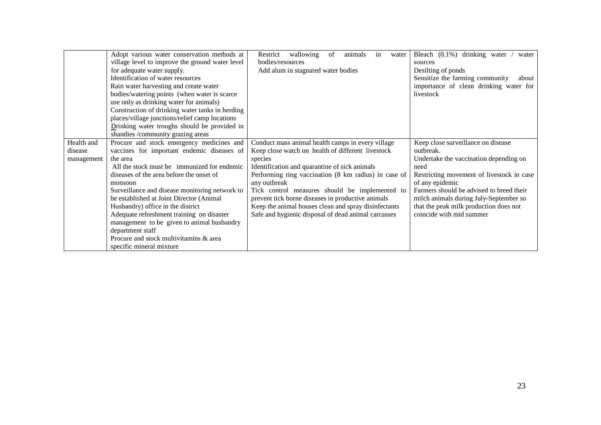|            | Adopt various water conservation methods at     | Restrict<br>wallowing<br>of<br>animals<br>water<br>in | Bleach (0.1%) drinking water<br>water     |
|------------|-------------------------------------------------|-------------------------------------------------------|-------------------------------------------|
|            | village level to improve the ground water level | bodies/resources                                      | sources                                   |
|            | for adequate water supply.                      | Add alum in stagnated water bodies                    | Desilting of ponds                        |
|            | Identification of water resources               |                                                       | Sensitize the farming community<br>about  |
|            | Rain water harvesting and create water          |                                                       | importance of clean drinking water for    |
|            | bodies/watering points (when water is scarce    |                                                       | livestock                                 |
|            | use only as drinking water for animals)         |                                                       |                                           |
|            | Construction of drinking water tanks in herding |                                                       |                                           |
|            | places/village junctions/relief camp locations  |                                                       |                                           |
|            | Drinking water troughs should be provided in    |                                                       |                                           |
|            | shandies /community grazing areas               |                                                       |                                           |
| Health and | Procure and stock emergency medicines and       | Conduct mass animal health camps in every village     | Keep close surveillance on disease        |
| disease    | vaccines for important endemic diseases of      | Keep close watch on health of different livestock     | outbreak.                                 |
| management | the area                                        | species                                               | Undertake the vaccination depending on    |
|            | All the stock must be immunized for endemic     | Identification and quarantine of sick animals         | need                                      |
|            | diseases of the area before the onset of        | Performing ring vaccination (8 km radius) in case of  | Restricting movement of livestock in case |
|            | monsoon                                         | any outbreak                                          | of any epidemic                           |
|            | Surveillance and disease monitoring network to  | Tick control measures should be implemented to        | Farmers should be advised to breed their  |
|            | be established at Joint Director (Animal)       | prevent tick borne diseases in productive animals     | milch animals during July-September so    |
|            | Husbandry) office in the district               | Keep the animal houses clean and spray disinfectants  | that the peak milk production does not    |
|            | Adequate refreshment training on disaster       | Safe and hygienic disposal of dead animal carcasses   | coincide with mid summer                  |
|            | management to be given to animal husbandry      |                                                       |                                           |
|            | department staff                                |                                                       |                                           |
|            | Procure and stock multivitamins & area          |                                                       |                                           |
|            | specific mineral mixture                        |                                                       |                                           |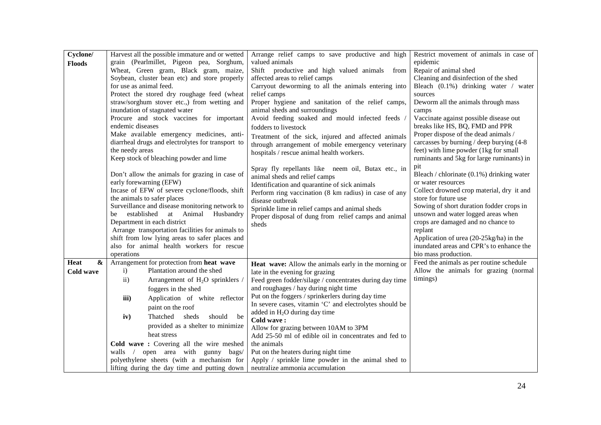| Cyclone/           | Harvest all the possible immature and or wetted           | Arrange relief camps to save productive and high                                           | Restrict movement of animals in case of           |
|--------------------|-----------------------------------------------------------|--------------------------------------------------------------------------------------------|---------------------------------------------------|
| <b>Floods</b>      | grain (Pearlmillet, Pigeon pea, Sorghum,                  | valued animals                                                                             | epidemic                                          |
|                    | Wheat, Green gram, Black gram, maize,                     | Shift productive and high valued animals from                                              | Repair of animal shed                             |
|                    | Soybean, cluster bean etc) and store properly             | affected areas to relief camps                                                             | Cleaning and disinfection of the shed             |
|                    | for use as animal feed.                                   | Carryout deworming to all the animals entering into                                        | Bleach (0.1%) drinking water / water              |
|                    | Protect the stored dry roughage feed (wheat               | relief camps                                                                               | sources                                           |
|                    | straw/sorghum stover etc.,) from wetting and              | Proper hygiene and sanitation of the relief camps,                                         | Deworm all the animals through mass               |
|                    | inundation of stagnated water                             | animal sheds and surroundings                                                              | camps                                             |
|                    | Procure and stock vaccines for important                  | Avoid feeding soaked and mould infected feeds                                              | Vaccinate against possible disease out            |
|                    | endemic diseases                                          | fodders to livestock                                                                       | breaks like HS, BQ, FMD and PPR                   |
|                    | Make available emergency medicines, anti-                 | Treatment of the sick, injured and affected animals                                        | Proper dispose of the dead animals /              |
|                    | diarrheal drugs and electrolytes for transport to         | through arrangement of mobile emergency veterinary                                         | carcasses by burning / deep burying (4-8)         |
|                    | the needy areas                                           | hospitals / rescue animal health workers.                                                  | feet) with lime powder (1kg for small             |
|                    | Keep stock of bleaching powder and lime                   |                                                                                            | ruminants and 5kg for large ruminants) in         |
|                    |                                                           | Spray fly repellants like neem oil, Butax etc., in                                         | pit                                               |
|                    | Don't allow the animals for grazing in case of            | animal sheds and relief camps                                                              | Bleach / chlorinate (0.1%) drinking water         |
|                    | early forewarning (EFW)                                   | Identification and quarantine of sick animals                                              | or water resources                                |
|                    | Incase of EFW of severe cyclone/floods, shift             | Perform ring vaccination (8 km radius) in case of any                                      | Collect drowned crop material, dry it and         |
|                    | the animals to safer places                               | disease outbreak                                                                           | store for future use                              |
|                    | Surveillance and disease monitoring network to            | Sprinkle lime in relief camps and animal sheds                                             | Sowing of short duration fodder crops in          |
|                    | Animal<br>established<br>at<br>Husbandry<br>be            | Proper disposal of dung from relief camps and animal                                       | unsown and water logged areas when                |
|                    | Department in each district                               | sheds                                                                                      | crops are damaged and no chance to                |
|                    | Arrange transportation facilities for animals to          |                                                                                            | replant                                           |
|                    | shift from low lying areas to safer places and            |                                                                                            | Application of urea (20-25kg/ha) in the           |
|                    | also for animal health workers for rescue                 |                                                                                            | inundated areas and CPR's to enhance the          |
|                    | operations                                                |                                                                                            | bio mass production.                              |
| Heat<br>$\pmb{\&}$ | Arrangement for protection from heat wave                 | Heat wave: Allow the animals early in the morning or                                       | Feed the animals as per routine schedule          |
| Cold wave          | Plantation around the shed<br>i)                          | late in the evening for grazing                                                            | Allow the animals for grazing (normal<br>timings) |
|                    | Arrangement of H <sub>2</sub> O sprinklers /<br>$\rm ii)$ | Feed green fodder/silage / concentrates during day time                                    |                                                   |
|                    | foggers in the shed                                       | and roughages / hay during night time                                                      |                                                   |
|                    | iii)<br>Application of white reflector                    | Put on the foggers / sprinkerlers during day time                                          |                                                   |
|                    | paint on the roof                                         | In severe cases, vitamin 'C' and electrolytes should be<br>added in $H_2O$ during day time |                                                   |
|                    | iv)<br>Thatched<br>sheds<br>should<br>be                  | Cold wave:                                                                                 |                                                   |
|                    | provided as a shelter to minimize                         | Allow for grazing between 10AM to 3PM                                                      |                                                   |
|                    | heat stress                                               | Add 25-50 ml of edible oil in concentrates and fed to                                      |                                                   |
|                    | Cold wave: Covering all the wire meshed                   | the animals                                                                                |                                                   |
|                    | open area with gunny bags/<br>walls $\sqrt{ }$            | Put on the heaters during night time                                                       |                                                   |
|                    | polyethylene sheets (with a mechanism for                 | Apply / sprinkle lime powder in the animal shed to                                         |                                                   |
|                    | lifting during the day time and putting down              | neutralize ammonia accumulation                                                            |                                                   |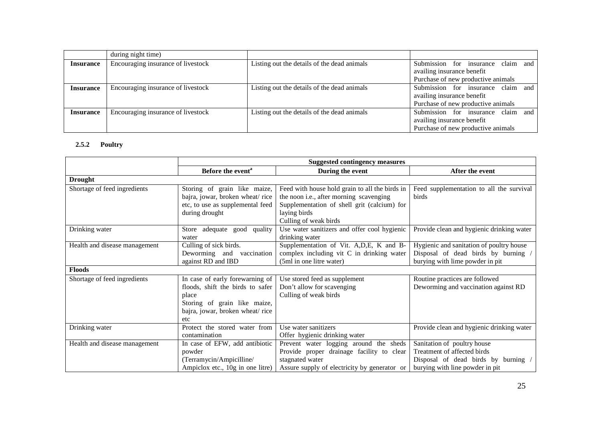|                  | during night time)                 |                                             |                                                                                                        |
|------------------|------------------------------------|---------------------------------------------|--------------------------------------------------------------------------------------------------------|
| <b>Insurance</b> | Encouraging insurance of livestock | Listing out the details of the dead animals | Submission for insurance claim and<br>availing insurance benefit<br>Purchase of new productive animals |
| <b>Insurance</b> | Encouraging insurance of livestock | Listing out the details of the dead animals | Submission for insurance claim and<br>availing insurance benefit<br>Purchase of new productive animals |
| <b>Insurance</b> | Encouraging insurance of livestock | Listing out the details of the dead animals | Submission for insurance claim and<br>availing insurance benefit<br>Purchase of new productive animals |

#### **2.5.2 Poultry**

|                               | <b>Suggested contingency measures</b>                                                                                                                  |                                                                                                                                                                                   |                                                                                                                                      |
|-------------------------------|--------------------------------------------------------------------------------------------------------------------------------------------------------|-----------------------------------------------------------------------------------------------------------------------------------------------------------------------------------|--------------------------------------------------------------------------------------------------------------------------------------|
|                               | Before the event <sup>a</sup>                                                                                                                          | During the event                                                                                                                                                                  | After the event                                                                                                                      |
| <b>Drought</b>                |                                                                                                                                                        |                                                                                                                                                                                   |                                                                                                                                      |
| Shortage of feed ingredients  | Storing of grain like maize,<br>bajra, jowar, broken wheat/rice<br>etc, to use as supplemental feed<br>during drought                                  | Feed with house hold grain to all the birds in<br>the noon i.e., after morning scavenging<br>Supplementation of shell grit (calcium) for<br>laying birds<br>Culling of weak birds | Feed supplementation to all the survival<br>birds                                                                                    |
| Drinking water                | Store adequate good quality<br>water                                                                                                                   | Use water sanitizers and offer cool hygienic<br>drinking water                                                                                                                    | Provide clean and hygienic drinking water                                                                                            |
| Health and disease management | Culling of sick birds.<br>Deworming and vaccination<br>against RD and IBD                                                                              | Supplementation of Vit. A,D,E, K and B-<br>complex including vit C in drinking water<br>(5ml in one litre water)                                                                  | Hygienic and sanitation of poultry house<br>Disposal of dead birds by burning /<br>burying with lime powder in pit                   |
| <b>Floods</b>                 |                                                                                                                                                        |                                                                                                                                                                                   |                                                                                                                                      |
| Shortage of feed ingredients  | In case of early forewarning of<br>floods, shift the birds to safer<br>place<br>Storing of grain like maize,<br>bajra, jowar, broken wheat/rice<br>etc | Use stored feed as supplement<br>Don't allow for scavenging<br>Culling of weak birds                                                                                              | Routine practices are followed<br>Deworming and vaccination against RD                                                               |
| Drinking water                | Protect the stored water from<br>contamination                                                                                                         | Use water sanitizers<br>Offer hygienic drinking water                                                                                                                             | Provide clean and hygienic drinking water                                                                                            |
| Health and disease management | In case of EFW, add antibiotic<br>powder<br>(Terramycin/Ampicilline/<br>Ampiclox etc., 10g in one litre)                                               | Prevent water logging around the sheds<br>Provide proper drainage facility to clear<br>stagnated water<br>Assure supply of electricity by generator or                            | Sanitation of poultry house<br>Treatment of affected birds<br>Disposal of dead birds by burning /<br>burying with line powder in pit |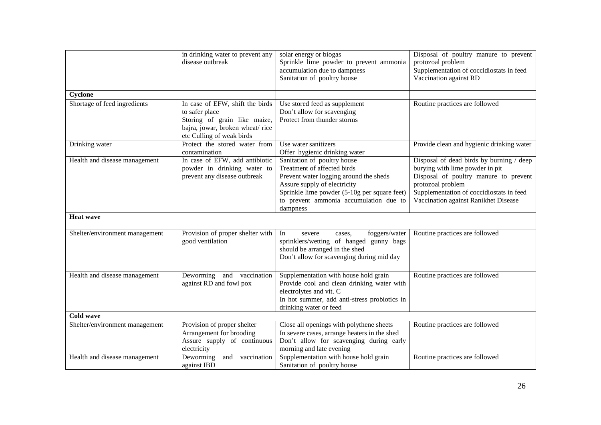|                                | in drinking water to prevent any<br>disease outbreak                                                                                              | solar energy or biogas<br>Sprinkle lime powder to prevent ammonia<br>accumulation due to dampness<br>Sanitation of poultry house                                                                                                           | Disposal of poultry manure to prevent<br>protozoal problem<br>Supplementation of coccidiostats in feed<br>Vaccination against RD                                                                                              |
|--------------------------------|---------------------------------------------------------------------------------------------------------------------------------------------------|--------------------------------------------------------------------------------------------------------------------------------------------------------------------------------------------------------------------------------------------|-------------------------------------------------------------------------------------------------------------------------------------------------------------------------------------------------------------------------------|
| Cyclone                        |                                                                                                                                                   |                                                                                                                                                                                                                                            |                                                                                                                                                                                                                               |
| Shortage of feed ingredients   | In case of EFW, shift the birds<br>to safer place<br>Storing of grain like maize,<br>bajra, jowar, broken wheat/rice<br>etc Culling of weak birds | Use stored feed as supplement<br>Don't allow for scavenging<br>Protect from thunder storms                                                                                                                                                 | Routine practices are followed                                                                                                                                                                                                |
| Drinking water                 | Protect the stored water from<br>contamination                                                                                                    | Use water sanitizers<br>Offer hygienic drinking water                                                                                                                                                                                      | Provide clean and hygienic drinking water                                                                                                                                                                                     |
| Health and disease management  | In case of EFW, add antibiotic<br>powder in drinking water to<br>prevent any disease outbreak                                                     | Sanitation of poultry house<br>Treatment of affected birds<br>Prevent water logging around the sheds<br>Assure supply of electricity<br>Sprinkle lime powder (5-10g per square feet)<br>to prevent ammonia accumulation due to<br>dampness | Disposal of dead birds by burning / deep<br>burying with lime powder in pit<br>Disposal of poultry manure to prevent<br>protozoal problem<br>Supplementation of coccidiostats in feed<br>Vaccination against Ranikhet Disease |
| <b>Heat wave</b>               |                                                                                                                                                   |                                                                                                                                                                                                                                            |                                                                                                                                                                                                                               |
| Shelter/environment management | Provision of proper shelter with<br>good ventilation                                                                                              | In<br>foggers/water<br>severe<br>cases,<br>sprinklers/wetting of hanged gunny bags<br>should be arranged in the shed<br>Don't allow for scavenging during mid day                                                                          | Routine practices are followed                                                                                                                                                                                                |
| Health and disease management  | Deworming and vaccination<br>against RD and fowl pox                                                                                              | Supplementation with house hold grain<br>Provide cool and clean drinking water with<br>electrolytes and vit. C<br>In hot summer, add anti-stress probiotics in<br>drinking water or feed                                                   | Routine practices are followed                                                                                                                                                                                                |
| <b>Cold wave</b>               |                                                                                                                                                   |                                                                                                                                                                                                                                            |                                                                                                                                                                                                                               |
| Shelter/environment management | Provision of proper shelter<br>Arrangement for brooding<br>Assure supply of continuous<br>electricity                                             | Close all openings with polythene sheets<br>In severe cases, arrange heaters in the shed<br>Don't allow for scavenging during early<br>morning and late evening                                                                            | Routine practices are followed                                                                                                                                                                                                |
| Health and disease management  | Deworming<br>and<br>vaccination<br>against IBD                                                                                                    | Supplementation with house hold grain<br>Sanitation of poultry house                                                                                                                                                                       | Routine practices are followed                                                                                                                                                                                                |